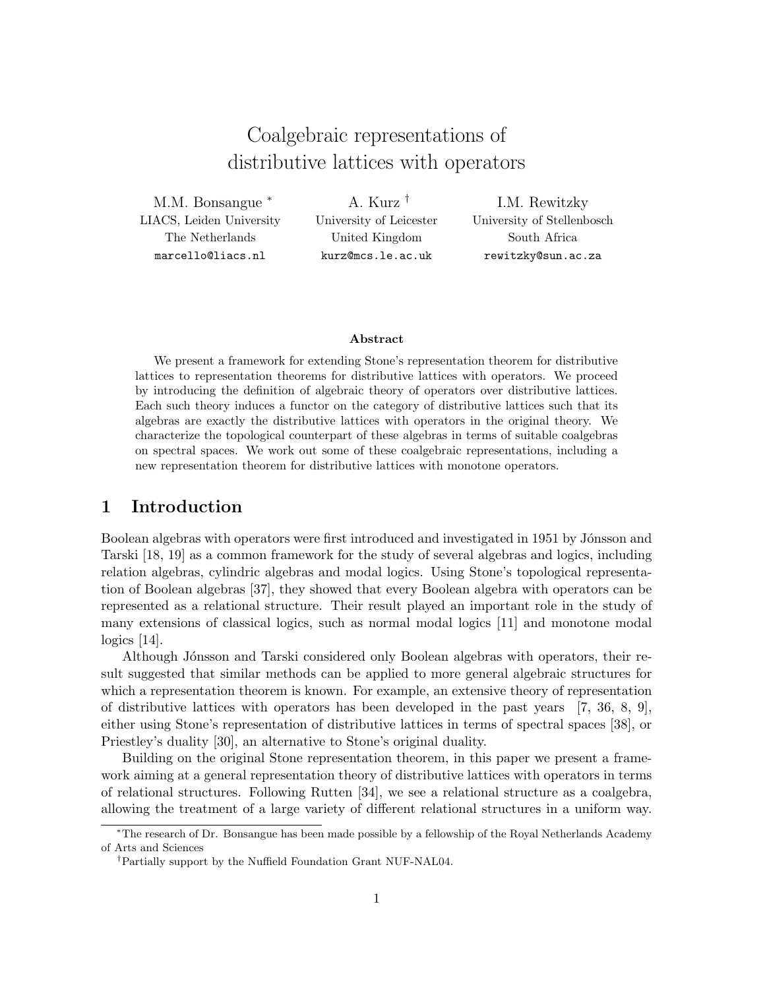# Coalgebraic representations of distributive lattices with operators

M.M. Bonsangue <sup>∗</sup> LIACS, Leiden University The Netherlands marcello@liacs.nl

A. Kurz † University of Leicester United Kingdom kurz@mcs.le.ac.uk

I.M. Rewitzky University of Stellenbosch South Africa rewitzky@sun.ac.za

#### Abstract

We present a framework for extending Stone's representation theorem for distributive lattices to representation theorems for distributive lattices with operators. We proceed by introducing the definition of algebraic theory of operators over distributive lattices. Each such theory induces a functor on the category of distributive lattices such that its algebras are exactly the distributive lattices with operators in the original theory. We characterize the topological counterpart of these algebras in terms of suitable coalgebras on spectral spaces. We work out some of these coalgebraic representations, including a new representation theorem for distributive lattices with monotone operators.

# 1 Introduction

Boolean algebras with operators were first introduced and investigated in 1951 by Jónsson and Tarski [18, 19] as a common framework for the study of several algebras and logics, including relation algebras, cylindric algebras and modal logics. Using Stone's topological representation of Boolean algebras [37], they showed that every Boolean algebra with operators can be represented as a relational structure. Their result played an important role in the study of many extensions of classical logics, such as normal modal logics [11] and monotone modal logics [14].

Although Jónsson and Tarski considered only Boolean algebras with operators, their result suggested that similar methods can be applied to more general algebraic structures for which a representation theorem is known. For example, an extensive theory of representation of distributive lattices with operators has been developed in the past years [7, 36, 8, 9], either using Stone's representation of distributive lattices in terms of spectral spaces [38], or Priestley's duality [30], an alternative to Stone's original duality.

Building on the original Stone representation theorem, in this paper we present a framework aiming at a general representation theory of distributive lattices with operators in terms of relational structures. Following Rutten [34], we see a relational structure as a coalgebra, allowing the treatment of a large variety of different relational structures in a uniform way.

<sup>∗</sup>The research of Dr. Bonsangue has been made possible by a fellowship of the Royal Netherlands Academy of Arts and Sciences

<sup>†</sup>Partially support by the Nuffield Foundation Grant NUF-NAL04.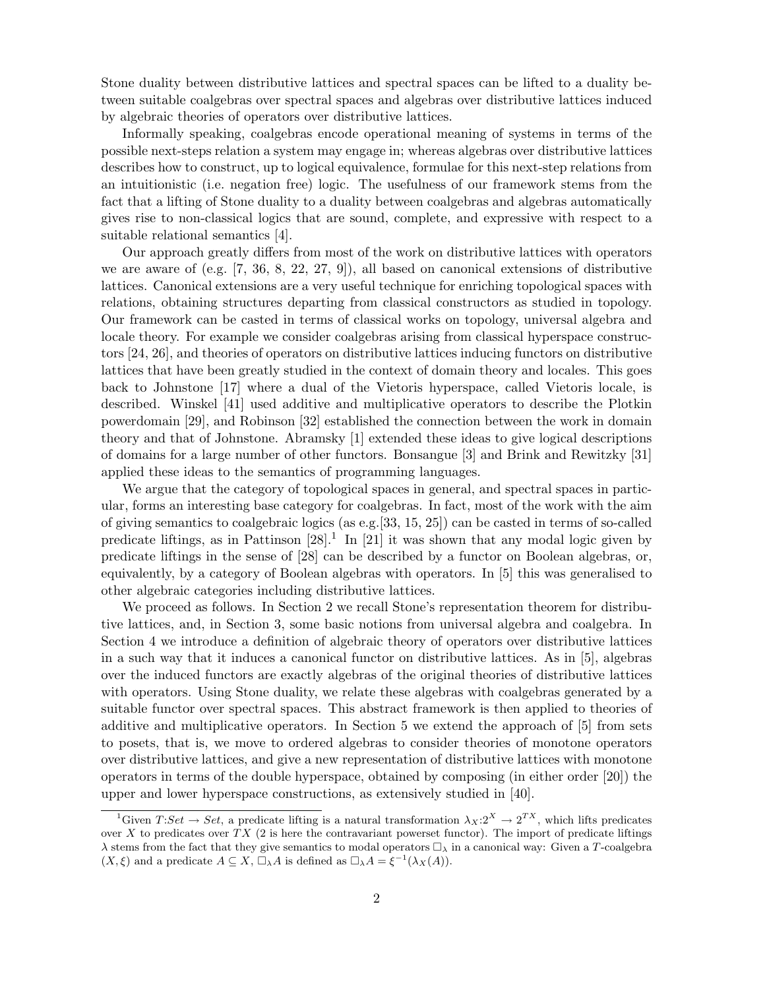Stone duality between distributive lattices and spectral spaces can be lifted to a duality between suitable coalgebras over spectral spaces and algebras over distributive lattices induced by algebraic theories of operators over distributive lattices.

Informally speaking, coalgebras encode operational meaning of systems in terms of the possible next-steps relation a system may engage in; whereas algebras over distributive lattices describes how to construct, up to logical equivalence, formulae for this next-step relations from an intuitionistic (i.e. negation free) logic. The usefulness of our framework stems from the fact that a lifting of Stone duality to a duality between coalgebras and algebras automatically gives rise to non-classical logics that are sound, complete, and expressive with respect to a suitable relational semantics [4].

Our approach greatly differs from most of the work on distributive lattices with operators we are aware of (e.g. [7, 36, 8, 22, 27, 9]), all based on canonical extensions of distributive lattices. Canonical extensions are a very useful technique for enriching topological spaces with relations, obtaining structures departing from classical constructors as studied in topology. Our framework can be casted in terms of classical works on topology, universal algebra and locale theory. For example we consider coalgebras arising from classical hyperspace constructors [24, 26], and theories of operators on distributive lattices inducing functors on distributive lattices that have been greatly studied in the context of domain theory and locales. This goes back to Johnstone [17] where a dual of the Vietoris hyperspace, called Vietoris locale, is described. Winskel [41] used additive and multiplicative operators to describe the Plotkin powerdomain [29], and Robinson [32] established the connection between the work in domain theory and that of Johnstone. Abramsky [1] extended these ideas to give logical descriptions of domains for a large number of other functors. Bonsangue [3] and Brink and Rewitzky [31] applied these ideas to the semantics of programming languages.

We argue that the category of topological spaces in general, and spectral spaces in particular, forms an interesting base category for coalgebras. In fact, most of the work with the aim of giving semantics to coalgebraic logics (as e.g.[33, 15, 25]) can be casted in terms of so-called predicate liftings, as in Pattinson  $[28]$ <sup>1</sup>. In  $[21]$  it was shown that any modal logic given by predicate liftings in the sense of [28] can be described by a functor on Boolean algebras, or, equivalently, by a category of Boolean algebras with operators. In [5] this was generalised to other algebraic categories including distributive lattices.

We proceed as follows. In Section 2 we recall Stone's representation theorem for distributive lattices, and, in Section 3, some basic notions from universal algebra and coalgebra. In Section 4 we introduce a definition of algebraic theory of operators over distributive lattices in a such way that it induces a canonical functor on distributive lattices. As in [5], algebras over the induced functors are exactly algebras of the original theories of distributive lattices with operators. Using Stone duality, we relate these algebras with coalgebras generated by a suitable functor over spectral spaces. This abstract framework is then applied to theories of additive and multiplicative operators. In Section 5 we extend the approach of [5] from sets to posets, that is, we move to ordered algebras to consider theories of monotone operators over distributive lattices, and give a new representation of distributive lattices with monotone operators in terms of the double hyperspace, obtained by composing (in either order [20]) the upper and lower hyperspace constructions, as extensively studied in [40].

<sup>&</sup>lt;sup>1</sup>Given  $T:Set \to Set$ , a predicate lifting is a natural transformation  $\lambda_X: 2^X \to 2^{TX}$ , which lifts predicates over X to predicates over  $TX$  (2 is here the contravariant powerset functor). The import of predicate liftings  $\lambda$  stems from the fact that they give semantics to modal operators  $\Box_{\lambda}$  in a canonical way: Given a T-coalgebra  $(X, \xi)$  and a predicate  $A \subseteq X$ ,  $\Box_{\lambda}A$  is defined as  $\Box_{\lambda}A = \xi^{-1}(\lambda_X(A)).$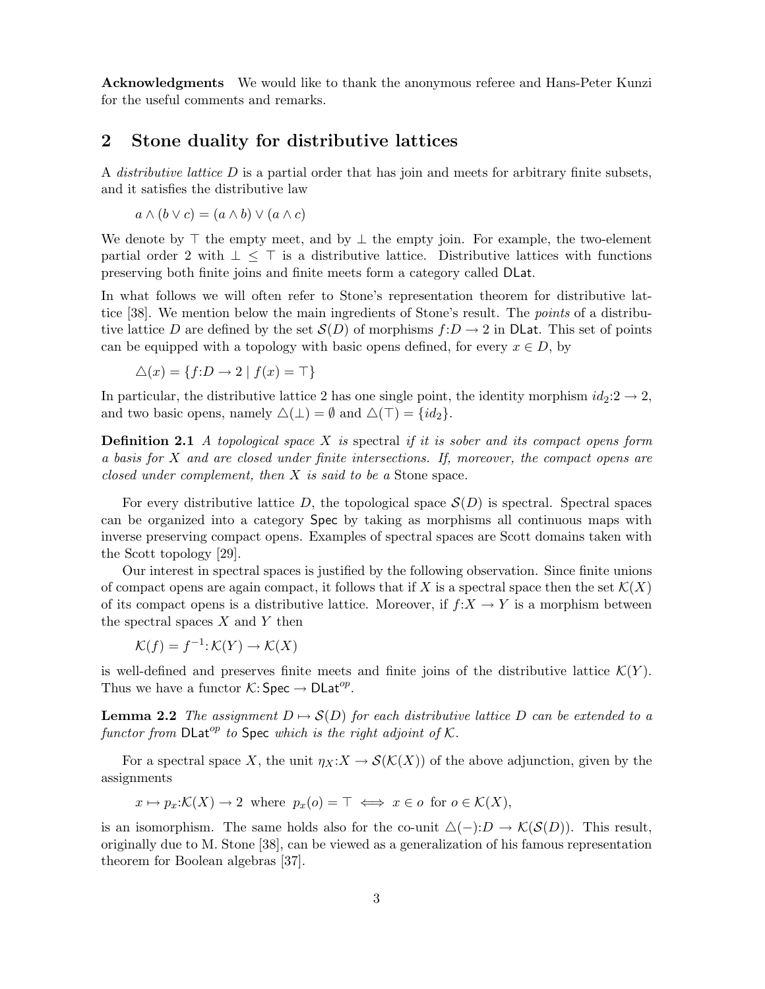Acknowledgments We would like to thank the anonymous referee and Hans-Peter Kunzi for the useful comments and remarks.

# 2 Stone duality for distributive lattices

A *distributive lattice*  $D$  is a partial order that has join and meets for arbitrary finite subsets, and it satisfies the distributive law

$$
a \wedge (b \vee c) = (a \wedge b) \vee (a \wedge c)
$$

We denote by  $\top$  the empty meet, and by  $\bot$  the empty join. For example, the two-element partial order 2 with  $\perp$  < ⊤ is a distributive lattice. Distributive lattices with functions preserving both finite joins and finite meets form a category called DLat.

In what follows we will often refer to Stone's representation theorem for distributive lattice [38]. We mention below the main ingredients of Stone's result. The *points* of a distributive lattice D are defined by the set  $\mathcal{S}(D)$  of morphisms  $f:D\to 2$  in DLat. This set of points can be equipped with a topology with basic opens defined, for every  $x \in D$ , by

$$
\triangle(x) = \{ f : D \to 2 \mid f(x) = \top \}
$$

In particular, the distributive lattice 2 has one single point, the identity morphism  $id_2:2\to 2$ , and two basic opens, namely  $\Delta(\perp) = \emptyset$  and  $\Delta(\top) = \{id_2\}.$ 

**Definition 2.1** A topological space X is spectral if it is sober and its compact opens form a basis for X and are closed under finite intersections. If, moreover, the compact opens are closed under complement, then X is said to be a Stone space.

For every distributive lattice D, the topological space  $\mathcal{S}(D)$  is spectral. Spectral spaces can be organized into a category Spec by taking as morphisms all continuous maps with inverse preserving compact opens. Examples of spectral spaces are Scott domains taken with the Scott topology [29].

Our interest in spectral spaces is justified by the following observation. Since finite unions of compact opens are again compact, it follows that if X is a spectral space then the set  $\mathcal{K}(X)$ of its compact opens is a distributive lattice. Moreover, if  $f: X \to Y$  is a morphism between the spectral spaces  $X$  and  $Y$  then

$$
\mathcal{K}(f) = f^{-1} \colon \mathcal{K}(Y) \to \mathcal{K}(X)
$$

is well-defined and preserves finite meets and finite joins of the distributive lattice  $\mathcal{K}(Y)$ . Thus we have a functor  $\mathcal{K}: \mathsf{Spec} \to \mathsf{DLat}^{op}.$ 

**Lemma 2.2** The assignment  $D \rightarrow S(D)$  for each distributive lattice D can be extended to a functor from  $\text{DLat}^{op}$  to Spec which is the right adjoint of K.

For a spectral space X, the unit  $\eta_X: X \to \mathcal{S}(\mathcal{K}(X))$  of the above adjunction, given by the assignments

 $x \mapsto p_x:\mathcal{K}(X) \to 2$  where  $p_x(o) = \top \iff x \in o$  for  $o \in \mathcal{K}(X)$ ,

is an isomorphism. The same holds also for the co-unit  $\Delta(-)$ :  $D \to \mathcal{K}(\mathcal{S}(D))$ . This result, originally due to M. Stone [38], can be viewed as a generalization of his famous representation theorem for Boolean algebras [37].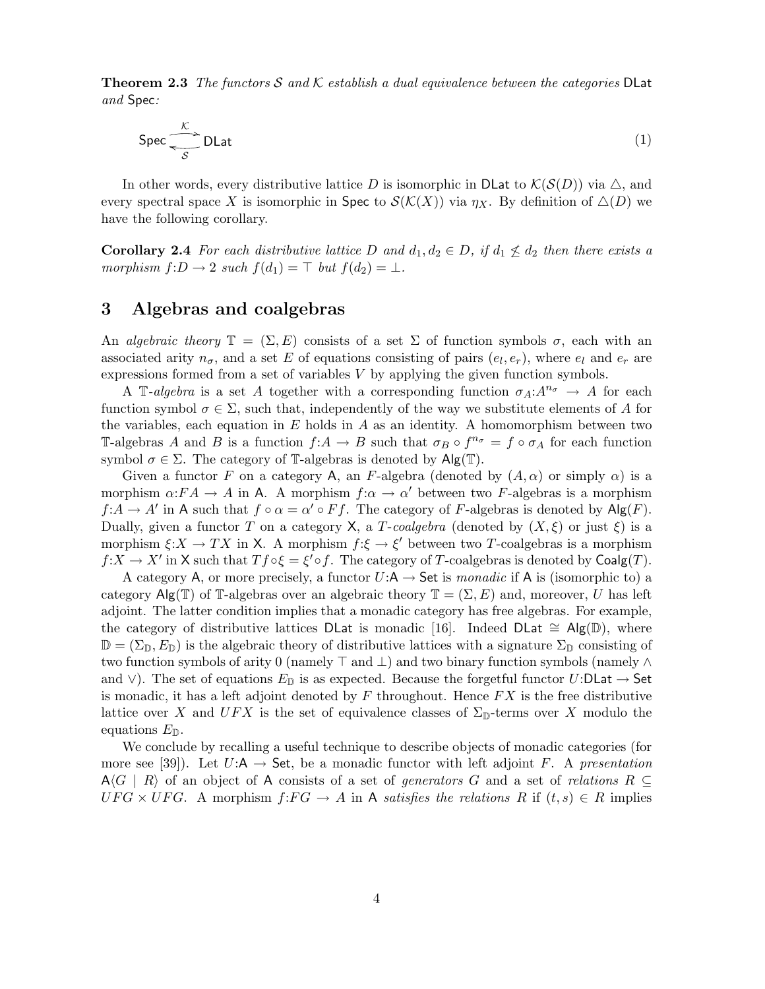**Theorem 2.3** The functors S and K establish a dual equivalence between the categories DLat and Spec:

$$
\text{Spec} \, \overline{\text{S}} \, \text{DLat} \tag{1}
$$

In other words, every distributive lattice D is isomorphic in DLat to  $\mathcal{K}(\mathcal{S}(D))$  via  $\triangle$ , and every spectral space X is isomorphic in Spec to  $\mathcal{S}(\mathcal{K}(X))$  via  $\eta_X$ . By definition of  $\Delta(D)$  we have the following corollary.

**Corollary 2.4** For each distributive lattice D and  $d_1, d_2 \in D$ , if  $d_1 \nleq d_2$  then there exists a morphism  $f: D \to 2$  such  $f(d_1) = \top$  but  $f(d_2) = \bot$ .

# 3 Algebras and coalgebras

An algebraic theory  $\mathbb{T} = (\Sigma, E)$  consists of a set  $\Sigma$  of function symbols  $\sigma$ , each with an associated arity  $n_{\sigma}$ , and a set E of equations consisting of pairs  $(e_l, e_r)$ , where  $e_l$  and  $e_r$  are expressions formed from a set of variables V by applying the given function symbols.

A T-algebra is a set A together with a corresponding function  $\sigma_A: A^{n_{\sigma}} \to A$  for each function symbol  $\sigma \in \Sigma$ , such that, independently of the way we substitute elements of A for the variables, each equation in  $E$  holds in  $A$  as an identity. A homomorphism between two T-algebras A and B is a function  $f: A \to B$  such that  $\sigma_B \circ f^{n_{\sigma}} = f \circ \sigma_A$  for each function symbol  $\sigma \in \Sigma$ . The category of T-algebras is denoted by  $\mathsf{Alg}(\mathbb{T})$ .

Given a functor F on a category A, an F-algebra (denoted by  $(A, \alpha)$  or simply  $\alpha$ ) is a morphism  $\alpha:FA \to A$  in A. A morphism  $f:\alpha \to \alpha'$  between two F-algebras is a morphism  $f:A \to A'$  in A such that  $f \circ \alpha = \alpha' \circ Ff$ . The category of F-algebras is denoted by  $\mathsf{Alg}(F)$ . Dually, given a functor T on a category X, a T-coalgebra (denoted by  $(X, \xi)$  or just  $\xi$ ) is a morphism  $\xi: X \to TX$  in X. A morphism  $f: \xi \to \xi'$  between two T-coalgebras is a morphism  $f:X \to X'$  in X such that  $Tf \circ \xi = \xi' \circ f$ . The category of T-coalgebras is denoted by  $Coalg(T)$ .

A category A, or more precisely, a functor  $U:\mathsf{A} \to \mathsf{Set}$  is monadic if A is (isomorphic to) a category Alg(T) of T-algebras over an algebraic theory  $\mathbb{T} = (\Sigma, E)$  and, moreover, U has left adjoint. The latter condition implies that a monadic category has free algebras. For example, the category of distributive lattices DLat is monadic [16]. Indeed DLat  $\cong$  Alg(D), where  $\mathbb{D} = (\Sigma_{\mathbb{D}}, E_{\mathbb{D}})$  is the algebraic theory of distributive lattices with a signature  $\Sigma_{\mathbb{D}}$  consisting of two function symbols of arity 0 (namely ⊤ and ⊥) and two binary function symbols (namely ∧ and ∨). The set of equations  $E_{\mathbb{D}}$  is as expected. Because the forgetful functor  $U:$ DLat  $\rightarrow$  Set is monadic, it has a left adjoint denoted by  $F$  throughout. Hence  $FX$  is the free distributive lattice over X and  $UFX$  is the set of equivalence classes of  $\Sigma_{\mathbb{D}}$ -terms over X modulo the equations  $E_{\mathbb{D}}$ .

We conclude by recalling a useful technique to describe objects of monadic categories (for more see [39]). Let  $U:\mathsf{A} \to \mathsf{Set}$ , be a monadic functor with left adjoint F. A presentation  $A\langle G | R \rangle$  of an object of A consists of a set of *generators* G and a set of *relations*  $R \subseteq$  $UFG \times UFG$ . A morphism  $f:FG \to A$  in A satisfies the relations R if  $(t, s) \in R$  implies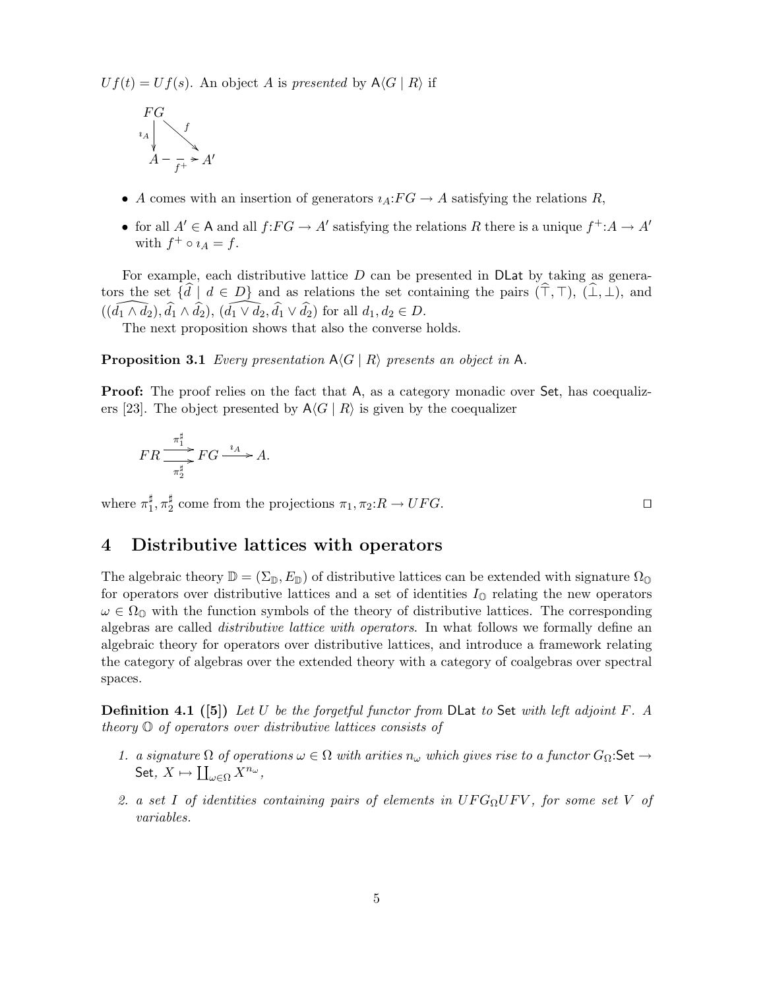$Uf(t) = Uf(s)$ . An object A is presented by  $A\langle G | R \rangle$  if

$$
FG
$$
\n
$$
A
$$
\n
$$
A - \frac{f}{f^+} > A'
$$

- A comes with an insertion of generators  $i_A:FG \to A$  satisfying the relations R,
- for all  $A' \in A$  and all  $f: FG \to A'$  satisfying the relations R there is a unique  $f^{\dagger}: A \to A'$ with  $f^+ \circ \iota_A = f$ .

For example, each distributive lattice  $D$  can be presented in  $D$ Lat by taking as generators the set  $\{\tilde{d} \mid d \in D\}$  and as relations the set containing the pairs  $(\hat{\top}, \top)$ ,  $(\hat{\bot}, \bot)$ , and  $((\widehat{d_1 \wedge d_2}), \widehat{d_1} \wedge \widehat{d_2}), (\widehat{d_1 \vee d_2}, \widehat{d_1} \vee \widehat{d_2})$  for all  $d_1, d_2 \in D$ .

The next proposition shows that also the converse holds.

**Proposition 3.1** Every presentation  $A\langle G | R \rangle$  presents an object in A.

**Proof:** The proof relies on the fact that A, as a category monadic over Set, has coequalizers [23]. The object presented by  $A\langle G | R \rangle$  is given by the coequalizer

$$
FR \frac{\pi_1^{\sharp}}{\pi_2^{\sharp}} FG \xrightarrow{\imath_A} A.
$$

where  $\pi_1^{\sharp}$  $\frac{1}{1}, \pi_2^{\sharp}$  $\frac{1}{2}$  come from the projections  $\pi_1, \pi_2: R \to UFG$ . □

# 4 Distributive lattices with operators

The algebraic theory  $\mathbb{D} = (\Sigma_{\mathbb{D}}, E_{\mathbb{D}})$  of distributive lattices can be extended with signature  $\Omega_{\mathbb{D}}$ for operators over distributive lattices and a set of identities  $I_0$  relating the new operators  $\omega \in \Omega_{\mathbb{Q}}$  with the function symbols of the theory of distributive lattices. The corresponding algebras are called *distributive lattice with operators*. In what follows we formally define an algebraic theory for operators over distributive lattices, and introduce a framework relating the category of algebras over the extended theory with a category of coalgebras over spectral spaces.

Definition 4.1 ([5]) Let U be the forgetful functor from DLat to Set with left adjoint F. A theory O of operators over distributive lattices consists of

- 1. a signature  $\Omega$  of operations  $\omega \in \Omega$  with arities  $n_{\omega}$  which gives rise to a functor  $G_{\Omega}$ :Set  $\rightarrow$ Set,  $X \mapsto \coprod_{\omega \in \Omega} X^{n_{\omega}},$
- 2. a set I of identities containing pairs of elements in  $UFG_{\Omega}UFV$ , for some set V of variables.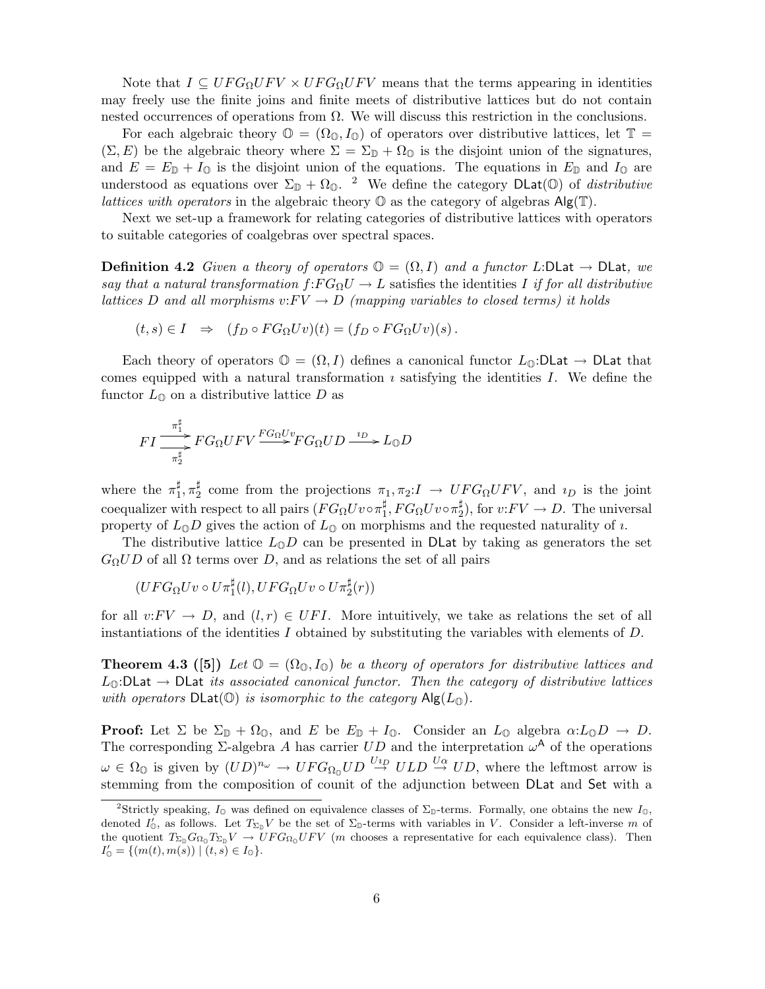Note that  $I \subseteq UFG_{\Omega}UFV \times UFG_{\Omega}UFV$  means that the terms appearing in identities may freely use the finite joins and finite meets of distributive lattices but do not contain nested occurrences of operations from  $\Omega$ . We will discuss this restriction in the conclusions.

For each algebraic theory  $\mathbb{O} = (\Omega_{\mathbb{O}}, I_{\mathbb{O}})$  of operators over distributive lattices, let  $\mathbb{T} =$  $(\Sigma, E)$  be the algebraic theory where  $\Sigma = \Sigma_{\mathbb{D}} + \Omega_{\mathbb{D}}$  is the disjoint union of the signatures, and  $E = E_{\mathbb{D}} + I_0$  is the disjoint union of the equations. The equations in  $E_{\mathbb{D}}$  and  $I_0$  are understood as equations over  $\Sigma_{\mathbb{D}} + \Omega_{\mathbb{O}}$ . <sup>2</sup> We define the category DLat( $\mathbb{O}$ ) of *distributive* lattices with operators in the algebraic theory  $\mathbb O$  as the category of algebras  $\mathsf{Alg}(\mathbb T)$ .

Next we set-up a framework for relating categories of distributive lattices with operators to suitable categories of coalgebras over spectral spaces.

**Definition 4.2** Given a theory of operators  $\mathbb{O} = (\Omega, I)$  and a functor L:DLat  $\rightarrow$  DLat, we say that a natural transformation  $f:FG_{\Omega}U \to L$  satisfies the identities I if for all distributive lattices D and all morphisms  $v: FV \to D$  (mapping variables to closed terms) it holds

$$
(t,s) \in I \Rightarrow (f_D \circ FG_{\Omega} U v)(t) = (f_D \circ FG_{\Omega} U v)(s).
$$

Each theory of operators  $\mathbb{O} = (\Omega, I)$  defines a canonical functor  $L_0: D$ Lat  $\rightarrow$  DLat that comes equipped with a natural transformation  $\imath$  satisfying the identities  $I$ . We define the functor  $L_0$  on a distributive lattice D as

$$
FI\frac{\pi_1^{\sharp}}{\pi_2^{\sharp}}FG_{\Omega}UFV\frac{FG_{\Omega}Uv}{FG_{\Omega}UD\stackrel{i_D}{\longrightarrow}}L_{\mathbb{Q}}D
$$

where the  $\pi_1^{\sharp}$  $_{1}^{\sharp}, \pi_{2}^{\sharp}$  $\frac{1}{2}$  come from the projections  $\pi_1, \pi_2: I \to UFG_{\Omega}UFV$ , and  $\iota_D$  is the joint  $\text{coequalizer with respect to all pairs } (FG_\Omega U v \circ \pi_1^\sharp$  $_{1}^{\sharp},FG_{\Omega}Uv\!\circ\!\pi_{2}^{\sharp}$  $_{2}^{\sharp}$ ), for  $v$ : $FV \rightarrow D$ . The universal property of  $L_0D$  gives the action of  $L_0$  on morphisms and the requested naturality of  $\imath$ .

The distributive lattice  $L_0D$  can be presented in DLat by taking as generators the set  $G_{\Omega}UD$  of all  $\Omega$  terms over D, and as relations the set of all pairs

 $(UFG_{\Omega}Uv\circ U\pi_1^{\sharp}(l),UFG_{\Omega}Uv\circ U\pi_2^{\sharp}(r))$ 

for all  $v:FV \to D$ , and  $(l,r) \in UFI$ . More intuitively, we take as relations the set of all instantiations of the identities I obtained by substituting the variables with elements of  $D$ .

**Theorem 4.3** ([5]) Let  $\mathbb{O} = (\Omega_{\mathbb{O}}, I_{\mathbb{O}})$  be a theory of operators for distributive lattices and  $L_0$ :DLat  $\rightarrow$  DLat its associated canonical functor. Then the category of distributive lattices with operators  $DLat(\mathbb{O})$  is isomorphic to the category  $Alg(L_{\mathbb{O}})$ .

**Proof:** Let  $\Sigma$  be  $\Sigma_{\mathbb{D}}$  +  $\Omega_{\mathbb{O}}$ , and E be  $E_{\mathbb{D}}$  +  $I_{\mathbb{O}}$ . Consider an  $L_{\mathbb{O}}$  algebra  $\alpha: L_{\mathbb{O}}D \to D$ . The corresponding  $\Sigma$ -algebra A has carrier  $UD$  and the interpretation  $\omega^{\mathsf{A}}$  of the operations  $\omega \in \Omega_{\mathbb{O}}$  is given by  $(UD)^{n_{\omega}} \to UFG_{\Omega_{\mathbb{O}}}UD \stackrel{U_{2D}}{\to} ULD \stackrel{U\alpha}{\to} UD$ , where the leftmost arrow is stemming from the composition of counit of the adjunction between DLat and Set with a

<sup>&</sup>lt;sup>2</sup>Strictly speaking,  $I_0$  was defined on equivalence classes of  $\Sigma_{\mathbb{D}}$ -terms. Formally, one obtains the new  $I_0$ , denoted  $I'_0$ , as follows. Let  $T_{\Sigma_{\mathbb{D}}}V$  be the set of  $\Sigma_{\mathbb{D}}$ -terms with variables in V. Consider a left-inverse m of the quotient  $T_{\Sigma_{D}}G_{\Omega_{0}}T_{\Sigma_{D}}V \to UFG_{\Omega_{0}}UFV$  (*m* chooses a representative for each equivalence class). Then  $I'_{\mathbb{O}} = \{ (m(t), m(s)) \mid (t, s) \in I_{\mathbb{O}} \}.$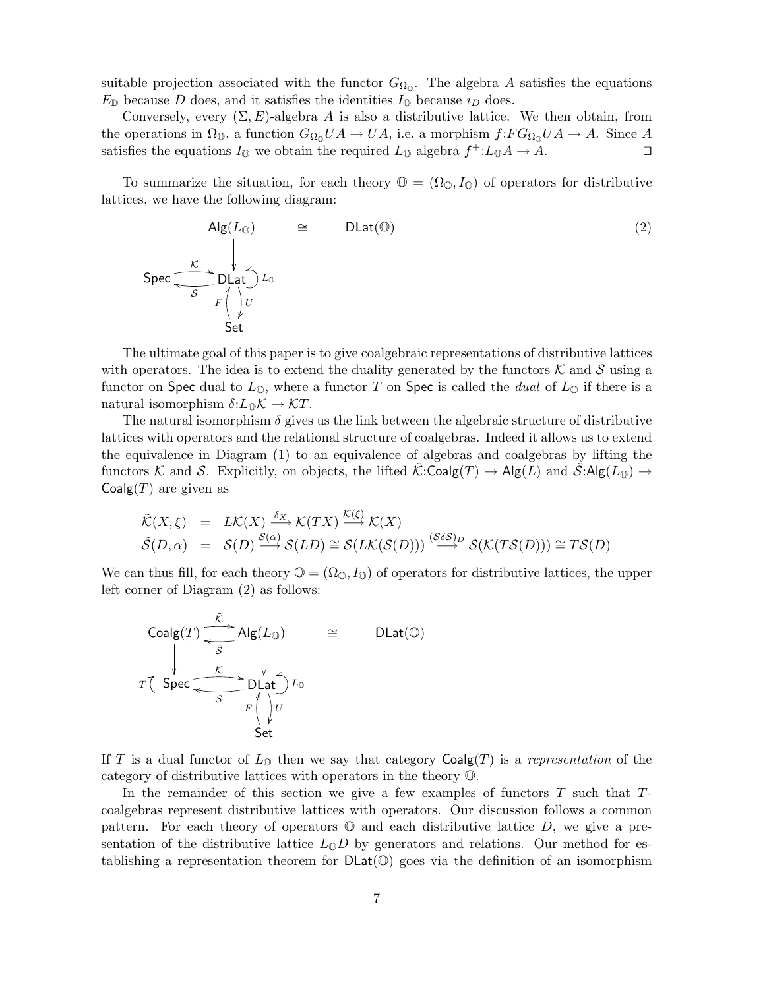suitable projection associated with the functor  $G_{\Omega_0}$ . The algebra A satisfies the equations  $E_{\mathbb{D}}$  because D does, and it satisfies the identities  $I_{\mathbb{D}}$  because  $i_D$  does.

Conversely, every  $(\Sigma, E)$ -algebra A is also a distributive lattice. We then obtain, from the operations in  $\Omega_{\mathbb{O}}$ , a function  $G_{\Omega_{\mathbb{O}}}UA \to UA$ , i.e. a morphism  $f:FG_{\Omega_{\mathbb{O}}}UA \to A$ . Since A satisfies the equations  $I_0$  we obtain the required  $L_0$  algebra  $f^{\dagger}$ : $L_0A \rightarrow A$ . □

To summarize the situation, for each theory  $\mathbb{O} = (\Omega_{\mathbb{O}}, I_{\mathbb{O}})$  of operators for distributive lattices, we have the following diagram:

$$
Alg(L_{\mathbb{O}}) \cong DLat(\mathbb{O})
$$
\n
$$
Spec \longrightarrow \bigcup_{S} \bigcup_{F \nmid V} L_{\mathbb{O}}
$$
\n
$$
Set
$$
\n(2)

The ultimate goal of this paper is to give coalgebraic representations of distributive lattices with operators. The idea is to extend the duality generated by the functors  $\mathcal K$  and  $\mathcal S$  using a functor on Spec dual to  $L_{\mathbb{O}}$ , where a functor T on Spec is called the *dual* of  $L_{\mathbb{O}}$  if there is a natural isomorphism  $\delta: L_0 \mathcal{K} \to \mathcal{K} T$ .

The natural isomorphism  $\delta$  gives us the link between the algebraic structure of distributive lattices with operators and the relational structure of coalgebras. Indeed it allows us to extend the equivalence in Diagram (1) to an equivalence of algebras and coalgebras by lifting the functors K and S. Explicitly, on objects, the lifted  $\mathcal{K}:\mathsf{Coalg}(T) \to \mathsf{Alg}(L)$  and  $\mathcal{S}:\mathsf{Alg}(L_{\mathbb{Q}}) \to$  $Coalg(T)$  are given as

$$
\tilde{\mathcal{K}}(X,\xi) = L\mathcal{K}(X) \xrightarrow{\delta_X} \mathcal{K}(TX) \xrightarrow{\mathcal{K}(\xi)} \mathcal{K}(X) \n\tilde{\mathcal{S}}(D,\alpha) = \mathcal{S}(D) \xrightarrow{\mathcal{S}(\alpha)} \mathcal{S}(LD) \cong \mathcal{S}(LK(\mathcal{S}(D))) \xrightarrow{(\mathcal{S}\delta\mathcal{S})_D} \mathcal{S}(\mathcal{K}(TS(D))) \cong TS(D)
$$

We can thus fill, for each theory  $\mathbb{O} = (\Omega_{\mathbb{O}}, I_{\mathbb{O}})$  of operators for distributive lattices, the upper left corner of Diagram (2) as follows:

| \n $\text{Coalg}(T) \xrightarrow{\tilde{K}} \text{Alg}(L_{\mathbb{O}})$ \n             | \n $\xrightarrow{\tilde{S}} \qquad \downarrow$ \n | \n $\text{DLat}(\mathbb{O})$ \n |
|----------------------------------------------------------------------------------------|---------------------------------------------------|---------------------------------|
| \n $T\left( \text{Spec} \xrightarrow{\tilde{K}} \text{DLat} \right) L_{\mathbb{O}}$ \n | \n $F\left( \downarrow \right) U$ \n              |                                 |
| \n $\text{Set}$ \n                                                                     |                                                   |                                 |

If T is a dual functor of  $L_0$  then we say that category  $Coalg(T)$  is a representation of the category of distributive lattices with operators in the theory O.

In the remainder of this section we give a few examples of functors  $T$  such that  $T$ coalgebras represent distributive lattices with operators. Our discussion follows a common pattern. For each theory of operators  $\mathbb O$  and each distributive lattice D, we give a presentation of the distributive lattice  $L_0D$  by generators and relations. Our method for establishing a representation theorem for  $DLat(\mathbb{O})$  goes via the definition of an isomorphism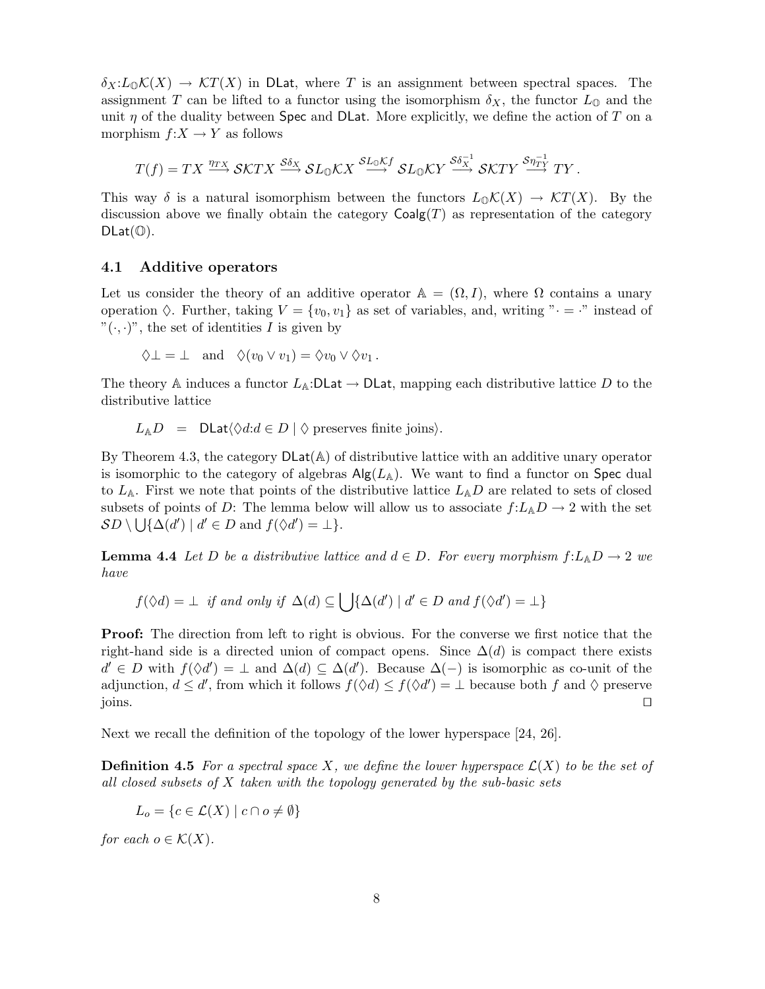$\delta_X: L_0\mathcal{K}(X) \to \mathcal{K}T(X)$  in DLat, where T is an assignment between spectral spaces. The assignment T can be lifted to a functor using the isomorphism  $\delta_X$ , the functor  $L_0$  and the unit  $\eta$  of the duality between Spec and DLat. More explicitly, we define the action of T on a morphism  $f: X \to Y$  as follows

$$
T(f) = TX \stackrel{\eta_{TX}}{\longrightarrow} \mathcal{SK}TX \stackrel{\mathcal{S}\delta_X}{\longrightarrow} \mathcal{SL}_0\mathcal{K}X \stackrel{\mathcal{SL}_0\mathcal{K}f}{\longrightarrow} \mathcal{SL}_0\mathcal{K}Y \stackrel{\mathcal{S}\delta_X^{-1}}{\longrightarrow} \mathcal{SK}TY \stackrel{\mathcal{S}\eta_{TY}^{-1}}{\longrightarrow} TY.
$$

This way  $\delta$  is a natural isomorphism between the functors  $L_{\mathbb{Q}}\mathcal{K}(X) \to \mathcal{K}T(X)$ . By the discussion above we finally obtain the category  $Coalg(T)$  as representation of the category  $DLat(\mathbb{O}).$ 

#### 4.1 Additive operators

Let us consider the theory of an additive operator  $\mathbb{A} = (\Omega, I)$ , where  $\Omega$  contains a unary operation  $\Diamond$ . Further, taking  $V = \{v_0, v_1\}$  as set of variables, and, writing " $\cdot = \cdot$ " instead of  $"(\cdot, \cdot)"$ , the set of identities I is given by

$$
\Diamond \bot = \bot \quad \text{and} \quad \Diamond (v_0 \vee v_1) = \Diamond v_0 \vee \Diamond v_1 .
$$

The theory A induces a functor  $L_A:$ DLat  $\rightarrow$  DLat, mapping each distributive lattice D to the distributive lattice

$$
L_{\mathbb{A}}D = \text{DLat}\langle \Diamond d : d \in D \mid \Diamond \text{ preserves finite joins} \rangle.
$$

By Theorem 4.3, the category  $DLat(A)$  of distributive lattice with an additive unary operator is isomorphic to the category of algebras  $\mathsf{Alg}(L_{\mathbb{A}})$ . We want to find a functor on Spec dual to  $L_{A}$ . First we note that points of the distributive lattice  $L_{A}D$  are related to sets of closed subsets of points of D: The lemma below will allow us to associate  $f: L_A D \to 2$  with the set  $SD \setminus \bigcup \{\Delta(d') \mid d' \in D \text{ and } f(\Diamond d') = \bot\}.$ 

**Lemma 4.4** Let D be a distributive lattice and  $d \in D$ . For every morphism  $f: L_A D \to 2$  we have

$$
f(\Diamond d) = \bot
$$
 if and only if  $\Delta(d) \subseteq \bigcup \{ \Delta(d') \mid d' \in D \text{ and } f(\Diamond d') = \bot \}$ 

Proof: The direction from left to right is obvious. For the converse we first notice that the right-hand side is a directed union of compact opens. Since  $\Delta(d)$  is compact there exists  $d' \in D$  with  $f(\Diamond d') = \bot$  and  $\Delta(d) \subseteq \Delta(d')$ . Because  $\Delta(-)$  is isomorphic as co-unit of the adjunction,  $d \leq d'$ , from which it follows  $f(\Diamond d) \leq f(\Diamond d') = \bot$  because both f and  $\Diamond$  preserve joins. ⊓⊔

Next we recall the definition of the topology of the lower hyperspace [24, 26].

**Definition 4.5** For a spectral space X, we define the lower hyperspace  $\mathcal{L}(X)$  to be the set of all closed subsets of  $X$  taken with the topology generated by the sub-basic sets

$$
L_o = \{c \in \mathcal{L}(X) \mid c \cap o \neq \emptyset\}
$$

for each  $o \in \mathcal{K}(X)$ .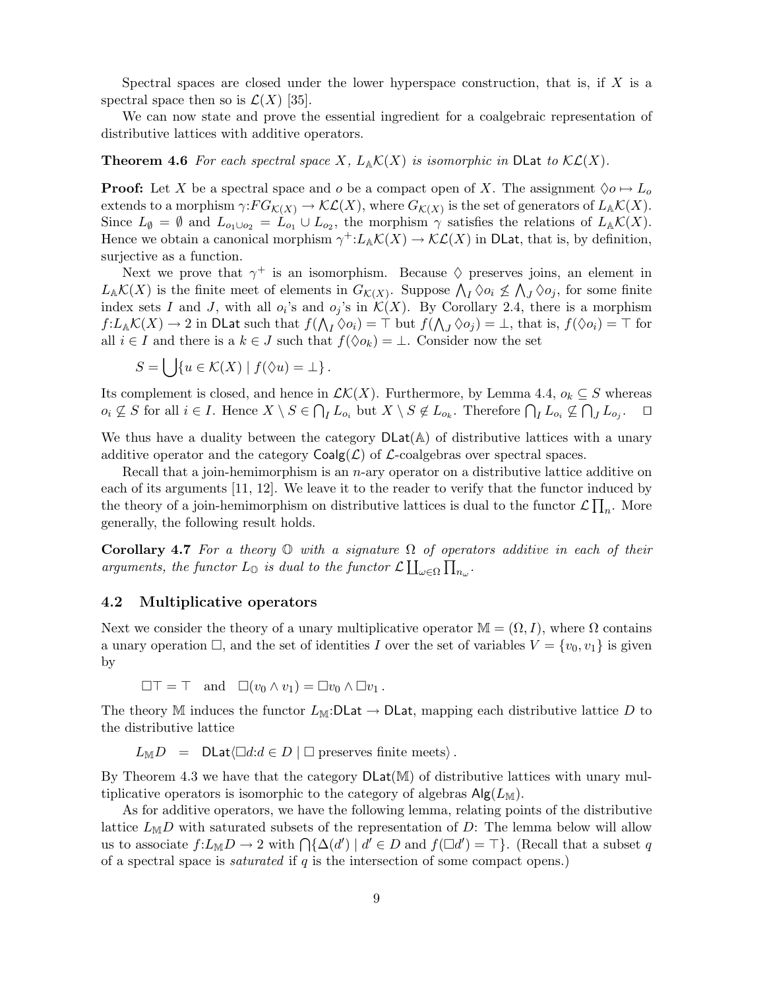Spectral spaces are closed under the lower hyperspace construction, that is, if  $X$  is a spectral space then so is  $\mathcal{L}(X)$  [35].

We can now state and prove the essential ingredient for a coalgebraic representation of distributive lattices with additive operators.

**Theorem 4.6** For each spectral space X,  $L_{\mathbb{A}}\mathcal{K}(X)$  is isomorphic in DLat to  $\mathcal{KL}(X)$ .

**Proof:** Let X be a spectral space and o be a compact open of X. The assignment  $\Diamond o \mapsto L_o$ extends to a morphism  $\gamma:FG_{\mathcal{K}(X)} \to \mathcal{KL}(X)$ , where  $G_{\mathcal{K}(X)}$  is the set of generators of  $L_A\mathcal{K}(X)$ . Since  $L_{\emptyset} = \emptyset$  and  $L_{o_1 \cup o_2} = L_{o_1} \cup L_{o_2}$ , the morphism  $\gamma$  satisfies the relations of  $L_{\mathbb{A}}\mathcal{K}(X)$ . Hence we obtain a canonical morphism  $\gamma^{\dagger}: L_{\mathbb{A}}\mathcal{K}(X) \to \mathcal{KL}(X)$  in DLat, that is, by definition, surjective as a function.

Next we prove that  $\gamma^+$  is an isomorphism. Because  $\Diamond$  preserves joins, an element in  $L_{\mathbb{A}}\mathcal{K}(X)$  is the finite meet of elements in  $G_{\mathcal{K}(X)}$ . Suppose  $\bigwedge_{I}\Diamond o_i \nleq \bigwedge_{J}\Diamond o_j$ , for some finite index sets I and J, with all  $o_i$ 's and  $o_j$ 's in  $\mathcal{K}(X)$ . By Corollary 2.4, there is a morphism  $f: L_A \mathcal{K}(X) \to 2$  in DLat such that  $f(\bigwedge_I \Diamond o_i) = \top$  but  $f(\bigwedge_J \Diamond o_j) = \bot$ , that is,  $f(\Diamond o_i) = \top$  for all  $i \in I$  and there is a  $k \in J$  such that  $f(\Diamond o_k) = \bot$ . Consider now the set

$$
S = \bigcup \{ u \in \mathcal{K}(X) \mid f(\Diamond u) = \bot \}.
$$

Its complement is closed, and hence in  $\mathcal{LK}(X)$ . Furthermore, by Lemma 4.4,  $o_k \subseteq S$  whereas  $o_i \nsubseteq S$  for all  $i \in I$ . Hence  $X \setminus S \in \bigcap_I L_{o_i}$  but  $X \setminus S \notin L_{o_k}$ . Therefore  $\bigcap_I L_{o_i} \nsubseteq \bigcap_J L_{o_j}$ . ⊓⊔

We thus have a duality between the category  $\mathsf{DLat}(\mathbb{A})$  of distributive lattices with a unary additive operator and the category  $\text{Coalg}(\mathcal{L})$  of  $\mathcal{L}\text{-coalgebras over spectral spaces.}$ 

Recall that a join-hemimorphism is an  $n$ -ary operator on a distributive lattice additive on each of its arguments [11, 12]. We leave it to the reader to verify that the functor induced by the theory of a join-hemimorphism on distributive lattices is dual to the functor  $\mathcal{L} \prod_n$ . More generally, the following result holds.

**Corollary 4.7** For a theory  $\mathbb{O}$  with a signature  $\Omega$  of operators additive in each of their arguments, the functor  $L_0$  is dual to the functor  $\mathcal{L}\coprod_{\omega\in\Omega}\prod_{n_{\omega}}$ .

#### 4.2 Multiplicative operators

Next we consider the theory of a unary multiplicative operator  $\mathbb{M} = (\Omega, I)$ , where  $\Omega$  contains a unary operation  $\Box$ , and the set of identities I over the set of variables  $V = \{v_0, v_1\}$  is given by

 $\Box \top = \top$  and  $\Box (v_0 \wedge v_1) = \Box v_0 \wedge \Box v_1$ .

The theory M induces the functor  $L_M:\mathsf{DLat} \to \mathsf{DLat}$ , mapping each distributive lattice D to the distributive lattice

 $L_{\mathbb{M}}D = \text{DLat}\langle \Box d : d \in D \mid \Box \text{ preserves finite meets} \rangle.$ 

By Theorem 4.3 we have that the category  $DLat(M)$  of distributive lattices with unary multiplicative operators is isomorphic to the category of algebras  $\mathsf{Alg}(L_{\mathbb{M}})$ .

As for additive operators, we have the following lemma, relating points of the distributive lattice  $L_{\mathbb{M}}D$  with saturated subsets of the representation of D: The lemma below will allow us to associate  $f: L_{\mathbb{M}} \mathbb{D} \to 2$  with  $\bigcap \{\Delta(d') \mid d' \in \mathbb{D} \text{ and } f(\Box d') = \top\}.$  (Recall that a subset q of a spectral space is *saturated* if  $q$  is the intersection of some compact opens.)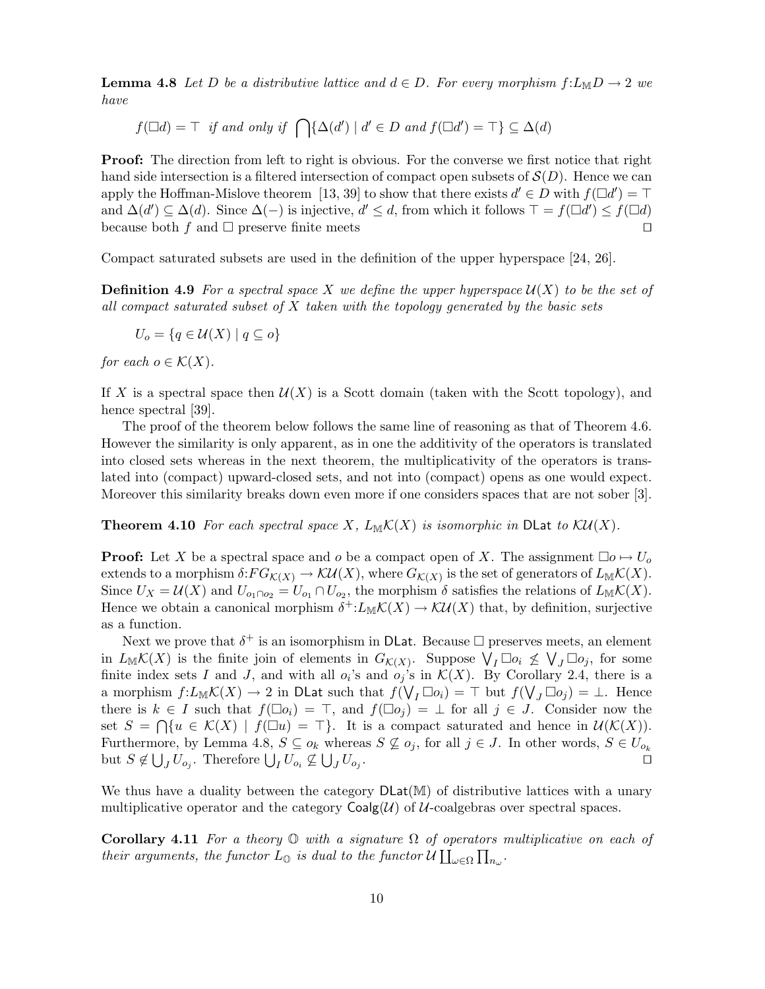**Lemma 4.8** Let D be a distributive lattice and  $d \in D$ . For every morphism  $f: L_{\mathbb{M}}D \to 2$  we have

 $f(\Box d) = \top$  if and only if  $\bigcap {\Delta(d') \mid d' \in D}$  and  $f(\Box d') = \top \} \subseteq \Delta(d)$ 

**Proof:** The direction from left to right is obvious. For the converse we first notice that right hand side intersection is a filtered intersection of compact open subsets of  $\mathcal{S}(D)$ . Hence we can apply the Hoffman-Mislove theorem [13, 39] to show that there exists  $d' \in D$  with  $f(\Box d') = \top$ and  $\Delta(d') \subseteq \Delta(d)$ . Since  $\Delta(-)$  is injective,  $d' \leq d$ , from which it follows  $\top = f(\Box d') \leq f(\Box d)$ because both f and  $\Box$  preserve finite meets  $\Box$ 

Compact saturated subsets are used in the definition of the upper hyperspace [24, 26].

**Definition 4.9** For a spectral space X we define the upper hyperspace  $\mathcal{U}(X)$  to be the set of all compact saturated subset of  $X$  taken with the topology generated by the basic sets

$$
U_o = \{ q \in \mathcal{U}(X) \mid q \subseteq o \}
$$

for each  $o \in \mathcal{K}(X)$ .

If X is a spectral space then  $\mathcal{U}(X)$  is a Scott domain (taken with the Scott topology), and hence spectral [39].

The proof of the theorem below follows the same line of reasoning as that of Theorem 4.6. However the similarity is only apparent, as in one the additivity of the operators is translated into closed sets whereas in the next theorem, the multiplicativity of the operators is translated into (compact) upward-closed sets, and not into (compact) opens as one would expect. Moreover this similarity breaks down even more if one considers spaces that are not sober [3].

#### **Theorem 4.10** For each spectral space X,  $L_M\mathcal{K}(X)$  is isomorphic in DLat to  $\mathcal{KU}(X)$ .

**Proof:** Let X be a spectral space and o be a compact open of X. The assignment  $\Box o \mapsto U_o$ extends to a morphism  $\delta:FG_{\mathcal{K}(X)}\to \mathcal{KU}(X)$ , where  $G_{\mathcal{K}(X)}$  is the set of generators of  $L_{\mathbb{M}}\mathcal{K}(X)$ . Since  $U_X = \mathcal{U}(X)$  and  $U_{o_1 \cap o_2} = U_{o_1} \cap U_{o_2}$ , the morphism  $\delta$  satisfies the relations of  $L_M \mathcal{K}(X)$ . Hence we obtain a canonical morphism  $\delta^{\dagger}: L_{\mathbb{M}}\mathcal{K}(X) \to \mathcal{K}\mathcal{U}(X)$  that, by definition, surjective as a function.

Next we prove that  $\delta^+$  is an isomorphism in DLat. Because  $\square$  preserves meets, an element in  $L_M \mathcal{K}(X)$  is the finite join of elements in  $G_{\mathcal{K}(X)}$ . Suppose  $\mathcal{N}_I \Box o_i \nleq \mathcal{N}_J \Box o_j$ , for some finite index sets I and J, and with all  $o_i$ 's and  $o_j$ 's in  $\mathcal{K}(X)$ . By Corollary 2.4, there is a a morphism  $f: L_M \mathcal{K}(X) \to 2$  in DLat such that  $f(V_I \Box o_i) = \top$  but  $f(V_J \Box o_j) = \bot$ . Hence there is  $k \in I$  such that  $f(\Box o_i) = \top$ , and  $f(\Box o_j) = \bot$  for all  $j \in J$ . Consider now the set  $S = \bigcap \{u \in \mathcal{K}(X) \mid f(\Box u) = \top\}.$  It is a compact saturated and hence in  $\mathcal{U}(\mathcal{K}(X)).$ Furthermore, by Lemma 4.8,  $S \subseteq o_k$  whereas  $S \nsubseteq o_j$ , for all  $j \in J$ . In other words,  $S \in U_{o_k}$ but  $S \notin \bigcup_J U_{o_j}$ . Therefore  $\bigcup_I U_{o_i} \nsubseteq \bigcup_J U_{o_j}$ . ⊓⊔

We thus have a duality between the category  $\text{DLat}(\mathbb{M})$  of distributive lattices with a unary multiplicative operator and the category  $\text{Coalg}(\mathcal{U})$  of  $\mathcal{U}\text{-coalgebras}$  over spectral spaces.

**Corollary 4.11** For a theory  $\mathbb{O}$  with a signature  $\Omega$  of operators multiplicative on each of their arguments, the functor  $\tilde{L}_{\mathbb{O}}$  is dual to the functor  $\mathcal{U} \coprod_{\omega \in \Omega} \prod_{n_{\omega}}$ .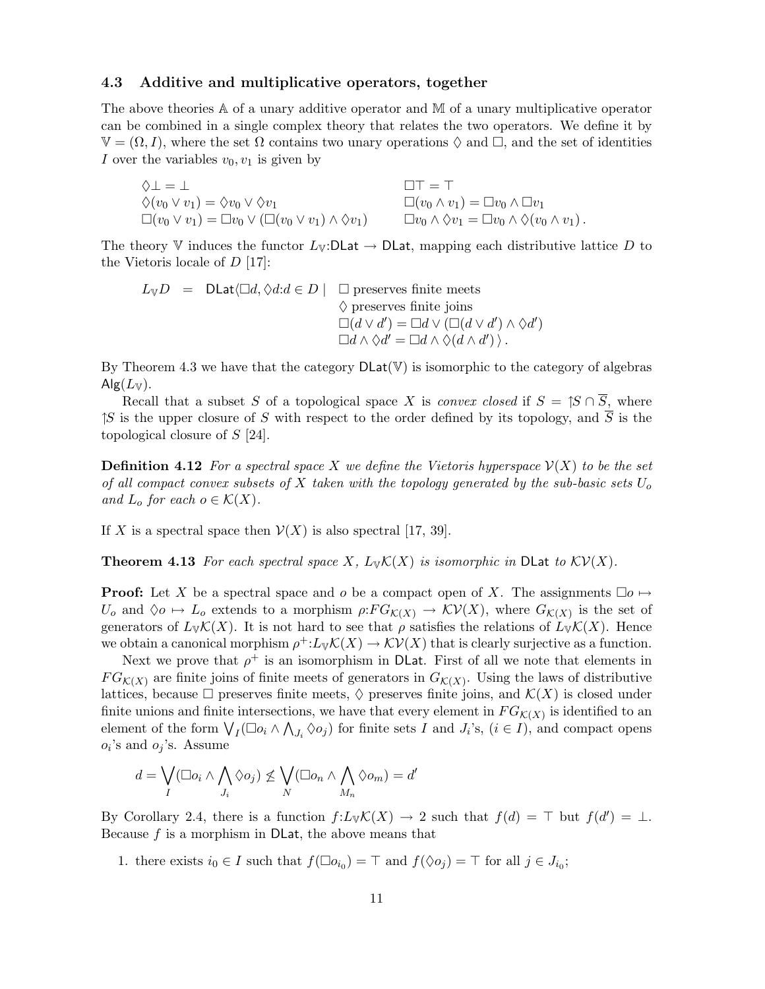#### 4.3 Additive and multiplicative operators, together

The above theories  $A$  of a unary additive operator and  $M$  of a unary multiplicative operator can be combined in a single complex theory that relates the two operators. We define it by  $\mathbb{V} = (\Omega, I)$ , where the set  $\Omega$  contains two unary operations  $\Diamond$  and  $\Box$ , and the set of identities I over the variables  $v_0, v_1$  is given by

| $\Diamond$ $\bot$ = $\bot$                                                    | $\Pi\top = \top$                                                            |
|-------------------------------------------------------------------------------|-----------------------------------------------------------------------------|
| $\Diamond(v_0 \vee v_1) = \Diamond v_0 \vee \Diamond v_1$                     | $\Box(v_0\wedge v_1)=\Box v_0\wedge \Box v_1$                               |
| $\Box(v_0 \vee v_1) = \Box v_0 \vee (\Box(v_0 \vee v_1) \wedge \Diamond v_1)$ | $\Box v_0 \wedge \Diamond v_1 = \Box v_0 \wedge \Diamond (v_0 \wedge v_1).$ |

The theory V induces the functor  $L_V$ :DLat  $\rightarrow$  DLat, mapping each distributive lattice D to the Vietoris locale of  $D$  [17]:

$$
L_{\mathbb{V}}D = \text{DLat}\langle \Box d, \Diamond d : d \in D \mid \Box \text{ preserves finite meets}
$$
  

$$
\Diamond \text{ preserves finite joins}
$$
  

$$
\Box(d \lor d') = \Box d \lor (\Box(d \lor d') \land \Diamond d')
$$
  

$$
\Box d \land \Diamond d' = \Box d \land \Diamond(d \land d') \rangle.
$$

By Theorem 4.3 we have that the category  $DLat(V)$  is isomorphic to the category of algebras  $\mathsf{Alg}(L_{\mathbb{V}}).$ 

Recall that a subset S of a topological space X is *convex closed* if  $S = \mathcal{S} \cap \overline{S}$ , where  $\uparrow S$  is the upper closure of S with respect to the order defined by its topology, and  $\overline{S}$  is the topological closure of S [24].

**Definition 4.12** For a spectral space X we define the Vietoris hyperspace  $\mathcal{V}(X)$  to be the set of all compact convex subsets of X taken with the topology generated by the sub-basic sets  $U_o$ and  $L_o$  for each  $o \in \mathcal{K}(X)$ .

If X is a spectral space then  $\mathcal{V}(X)$  is also spectral [17, 39].

**Theorem 4.13** For each spectral space X,  $L_{\mathbb{V}}K(X)$  is isomorphic in DLat to  $\mathcal{KV}(X)$ .

**Proof:** Let X be a spectral space and o be a compact open of X. The assignments  $\Box o \mapsto$  $U_o$  and  $\Diamond o \mapsto L_o$  extends to a morphism  $\rho: FG_{\mathcal{K}(X)} \to \mathcal{KV}(X)$ , where  $G_{\mathcal{K}(X)}$  is the set of generators of  $L_{\mathbb{V}}\mathcal{K}(X)$ . It is not hard to see that  $\rho$  satisfies the relations of  $L_{\mathbb{V}}\mathcal{K}(X)$ . Hence we obtain a canonical morphism  $\rho^{\dagger}: L_{\mathbb{V}}\mathcal{K}(X) \to \mathcal{KV}(X)$  that is clearly surjective as a function.

Next we prove that  $\rho^+$  is an isomorphism in DLat. First of all we note that elements in  $FG_{\mathcal{K}(X)}$  are finite joins of finite meets of generators in  $G_{\mathcal{K}(X)}$ . Using the laws of distributive lattices, because  $\Box$  preserves finite meets,  $\Diamond$  preserves finite joins, and  $\mathcal{K}(X)$  is closed under finite unions and finite intersections, we have that every element in  $FG_{\mathcal{K}(X)}$  is identified to an element of the form  $\bigvee_I (\Box o_i \wedge \bigwedge_{J_i} \Diamond o_j)$  for finite sets I and  $J_i$ 's,  $(i \in I)$ , and compact opens  $o_i$ 's and  $o_j$ 's. Assume

$$
d = \bigvee_{I} (\Box o_i \land \bigwedge_{J_i} \Diamond o_j) \not\leq \bigvee_{N} (\Box o_n \land \bigwedge_{M_n} \Diamond o_m) = d'
$$

By Corollary 2.4, there is a function  $f: L_{\mathbb{V}}\mathcal{K}(X) \to 2$  such that  $f(d) = \top$  but  $f(d') = \bot$ . Because f is a morphism in DLat, the above means that

1. there exists  $i_0 \in I$  such that  $f(\Box o_{i_0}) = \top$  and  $f(\Diamond o_j) = \top$  for all  $j \in J_{i_0}$ ;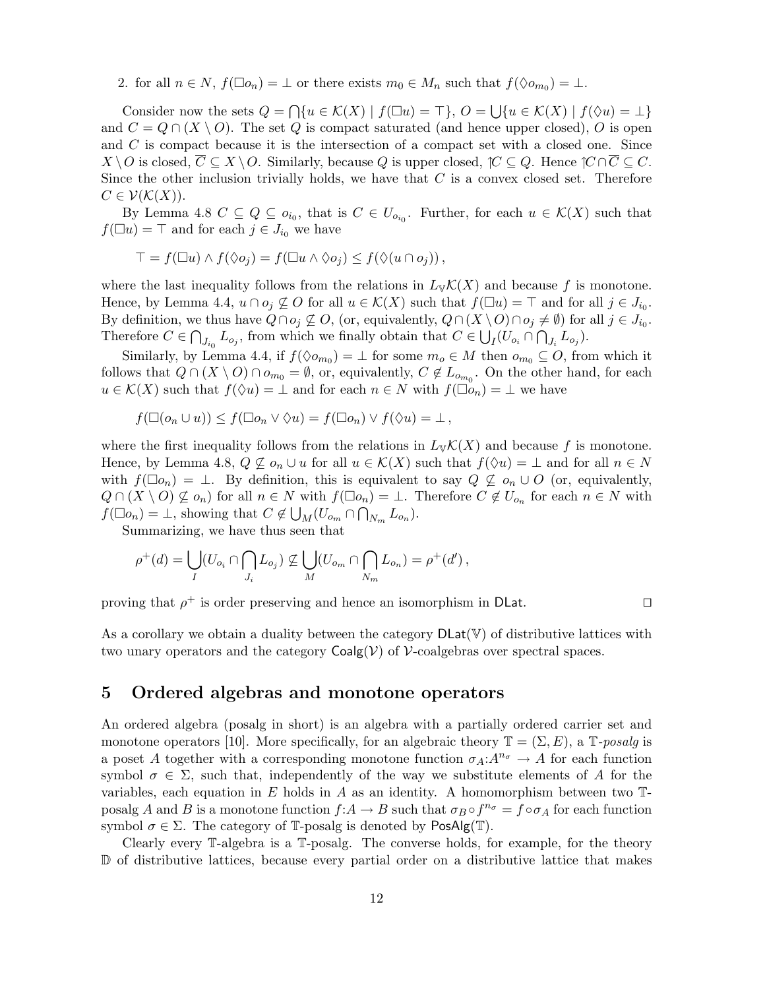2. for all  $n \in N$ ,  $f(\Box o_n) = \bot$  or there exists  $m_0 \in M_n$  such that  $f(\Diamond o_{m_0}) = \bot$ .

Consider now the sets  $Q = \bigcap \{u \in \mathcal{K}(X) \mid f(\Box u) = \top\}, Q = \bigcup \{u \in \mathcal{K}(X) \mid f(\Diamond u) = \bot\}$ and  $C = Q \cap (X \setminus O)$ . The set Q is compact saturated (and hence upper closed), O is open and C is compact because it is the intersection of a compact set with a closed one. Since  $X \setminus O$  is closed,  $C \subseteq X \setminus O$ . Similarly, because Q is upper closed,  $\mathcal{C} \subseteq Q$ . Hence  $\mathcal{C} \cap C \subseteq C$ . Since the other inclusion trivially holds, we have that  $C$  is a convex closed set. Therefore  $C \in \mathcal{V}(\mathcal{K}(X)).$ 

By Lemma 4.8  $C \subseteq Q \subseteq o_{i_0}$ , that is  $C \in U_{o_{i_0}}$ . Further, for each  $u \in \mathcal{K}(X)$  such that  $f(\Box u) = \top$  and for each  $j \in J_{i_0}$  we have

$$
\top = f(\Box u) \wedge f(\Diamond o_j) = f(\Box u \wedge \Diamond o_j) \leq f(\Diamond (u \cap o_j)),
$$

where the last inequality follows from the relations in  $L_{\mathbb{V}}\mathcal{K}(X)$  and because f is monotone. Hence, by Lemma 4.4,  $u \cap o_j \nsubseteq O$  for all  $u \in \mathcal{K}(X)$  such that  $f(\Box u) = \top$  and for all  $j \in J_{i_0}$ . By definition, we thus have  $Q \cap o_j \not\subseteq O$ , (or, equivalently,  $Q \cap (X \setminus O) \cap o_j \neq \emptyset$ ) for all  $j \in J_{i_0}$ . Therefore  $C \in \bigcap$  $J_{i_0} L_{o_j}$ , from which we finally obtain that  $C \in \bigcup_I (U_{o_i} \cap \bigcap_{J_i} L_{o_j}).$ 

Similarly, by Lemma 4.4, if  $f(\lozenge o_{m_0}) = \bot$  for some  $m_0 \in M$  then  $o_{m_0} \subseteq O$ , from which it follows that  $Q \cap (X \setminus O) \cap o_{m_0} = \emptyset$ , or, equivalently,  $C \notin L_{o_{m_0}}$ . On the other hand, for each  $u \in \mathcal{K}(X)$  such that  $f(\Diamond u) = \bot$  and for each  $n \in N$  with  $f(\Box o_n) = \bot$  we have

$$
f(\Box(o_n \cup u)) \le f(\Box o_n \vee \Diamond u) = f(\Box o_n) \vee f(\Diamond u) = \bot,
$$

where the first inequality follows from the relations in  $L_{\mathbb{V}}\mathcal{K}(X)$  and because f is monotone. Hence, by Lemma 4.8,  $Q \nsubseteq o_n \cup u$  for all  $u \in \mathcal{K}(X)$  such that  $f(\Diamond u) = \bot$  and for all  $n \in N$ with  $f(\Box o_n) = \bot$ . By definition, this is equivalent to say  $Q \not\subseteq o_n \cup O$  (or, equivalently,  $Q \cap (X \setminus O) \not\subseteq o_n$  for all  $n \in N$  with  $f(\Box o_n) = \bot$ . Therefore  $C \notin U_{o_n}$  for each  $n \in N$  with  $f(\Box o_n) = \bot$ , showing that  $C \notin \bigcup_M (U_{o_m} \cap \bigcap_{N_m} L_{o_n}).$ 

Summarizing, we have thus seen that

$$
\rho^+(d) = \bigcup_I (U_{o_i} \cap \bigcap_{J_i} L_{o_j}) \nsubseteq \bigcup_M (U_{o_m} \cap \bigcap_{N_m} L_{o_n}) = \rho^+(d'),
$$

proving that  $\rho^+$  is order preserving and hence an isomorphism in DLat.  $□$ 

As a corollary we obtain a duality between the category  $\text{DLat}(\mathbb{V})$  of distributive lattices with two unary operators and the category  $\text{Coalg}(\mathcal{V})$  of  $\mathcal{V}\text{-coalgebras}$  over spectral spaces.

# 5 Ordered algebras and monotone operators

An ordered algebra (posalg in short) is an algebra with a partially ordered carrier set and monotone operators [10]. More specifically, for an algebraic theory  $\mathbb{T} = (\Sigma, E)$ , a  $\mathbb{T}$ -posalg is a poset A together with a corresponding monotone function  $\sigma_A: A^{n_{\sigma}} \to A$  for each function symbol  $\sigma \in \Sigma$ , such that, independently of the way we substitute elements of A for the variables, each equation in E holds in A as an identity. A homomorphism between two  $\mathbb{T}$ posalg A and B is a monotone function  $f: A \to B$  such that  $\sigma_B \circ f^{n_{\sigma}} = f \circ \sigma_A$  for each function symbol  $\sigma \in \Sigma$ . The category of T-posalg is denoted by PosAlg(T).

Clearly every T-algebra is a T-posalg. The converse holds, for example, for the theory D of distributive lattices, because every partial order on a distributive lattice that makes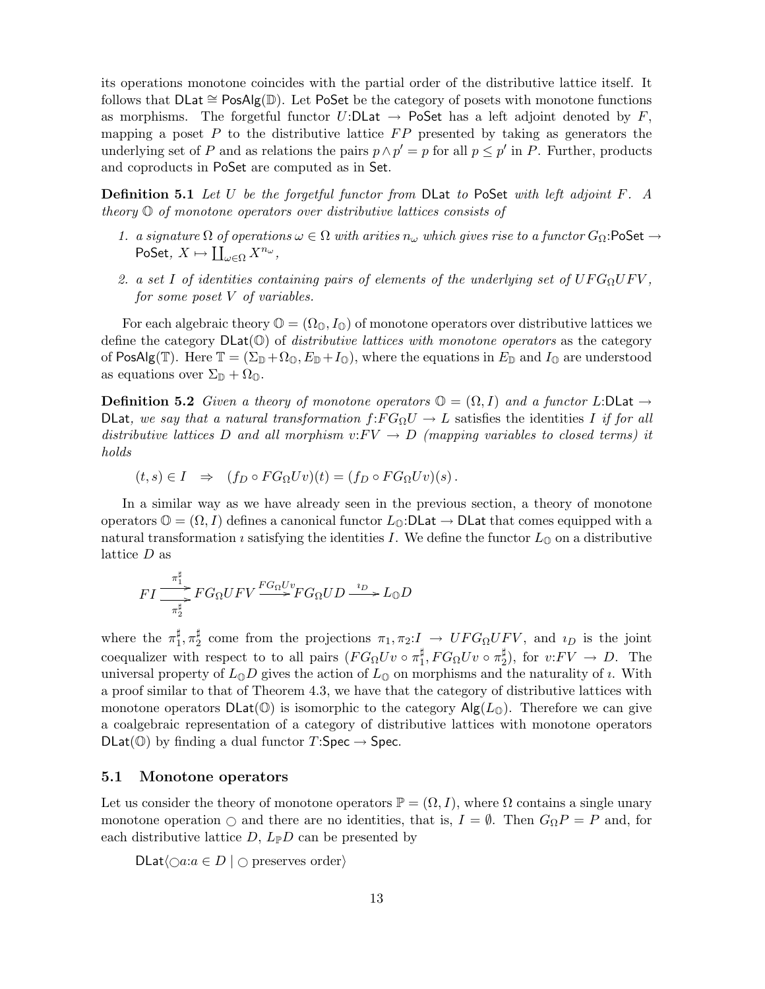its operations monotone coincides with the partial order of the distributive lattice itself. It follows that DLat ∼= PosAlg(D). Let PoSet be the category of posets with monotone functions as morphisms. The forgetful functor  $U:DLat \to Poset$  has a left adjoint denoted by  $F$ , mapping a poset P to the distributive lattice  $FP$  presented by taking as generators the underlying set of P and as relations the pairs  $p \wedge p' = p$  for all  $p \leq p'$  in P. Further, products and coproducts in PoSet are computed as in Set.

**Definition 5.1** Let U be the forgetful functor from DLat to PoSet with left adjoint F. A theory O of monotone operators over distributive lattices consists of

- 1. a signature  $\Omega$  of operations  $\omega \in \Omega$  with arities  $n_{\omega}$  which gives rise to a functor  $G_{\Omega}$ : PoSet  $\rightarrow$ PoSet,  $X \mapsto \coprod_{\omega \in \Omega} X^{n_{\omega}},$
- 2. a set I of identities containing pairs of elements of the underlying set of  $UFG_{\Omega}UFV$ , for some poset V of variables.

For each algebraic theory  $\mathbb{O} = (\Omega_{\mathbb{O}}, I_{\mathbb{O}})$  of monotone operators over distributive lattices we define the category  $DLat(\mathbb{O})$  of *distributive lattices with monotone operators* as the category of PosAlg(T). Here  $\mathbb{T} = (\Sigma_{\mathbb{D}} + \Omega_{\mathbb{O}}, E_{\mathbb{D}} + I_{\mathbb{O}})$ , where the equations in  $E_{\mathbb{D}}$  and  $I_{\mathbb{O}}$  are understood as equations over  $\Sigma_{\mathbb{D}} + \Omega_{\mathbb{O}}$ .

**Definition 5.2** Given a theory of monotone operators  $\mathbb{O} = (\Omega, I)$  and a functor L:DLat  $\rightarrow$ DLat, we say that a natural transformation  $f:FG_{\Omega}U \to L$  satisfies the identities I if for all distributive lattices D and all morphism  $v: FV \to D$  (mapping variables to closed terms) it holds

$$
(t,s) \in I \Rightarrow (f_D \circ FG_{\Omega} U v)(t) = (f_D \circ FG_{\Omega} U v)(s).
$$

In a similar way as we have already seen in the previous section, a theory of monotone operators  $\mathbb{O} = (\Omega, I)$  defines a canonical functor  $L_{\mathbb{O}}:\mathsf{DLat} \to \mathsf{DLat}$  that comes equipped with a natural transformation *i* satisfying the identities *I*. We define the functor  $L_{\mathbb{Q}}$  on a distributive lattice  $D$  as

$$
FI \frac{\pi_1^{\sharp}}{-\pi_2^{\sharp}}FG_{\Omega}UFV \xrightarrow{FG_{\Omega}Uv} FG_{\Omega} UD \xrightarrow{i_D} L_{\mathbb{Q}}D
$$

where the  $\pi_1^{\sharp}$  $_{1}^{\sharp}, \pi_{2}^{\sharp}$  $Z_2^{\mu}$  come from the projections  $\pi_1, \pi_2: I \to UFG_{\Omega}UFV$ , and  $\iota_D$  is the joint coequalizer with respect to to all pairs  $(FG_{\Omega} U v \circ \pi_1^{\sharp}$  $_{1}^{\sharp},FG_{\Omega}Uv\circ\pi_{2}^{\sharp}%$  $2^{\sharp}$ ), for  $v: FV \rightarrow D$ . The universal property of  $L_0D$  gives the action of  $L_0$  on morphisms and the naturality of *i*. With a proof similar to that of Theorem 4.3, we have that the category of distributive lattices with monotone operators  $DLat(\mathbb{O})$  is isomorphic to the category  $Alg(L_{\mathbb{O}})$ . Therefore we can give a coalgebraic representation of a category of distributive lattices with monotone operators  $DLat(\mathbb{O})$  by finding a dual functor  $T:Spec \to Spec$ .

#### 5.1 Monotone operators

Let us consider the theory of monotone operators  $\mathbb{P} = (\Omega, I)$ , where  $\Omega$  contains a single unary monotone operation  $\bigcirc$  and there are no identities, that is,  $I = \emptyset$ . Then  $G_{\Omega}P = P$  and, for each distributive lattice  $D, L_{\mathbb{P}}D$  can be presented by

DLat $\langle \bigcirc a : a \in D \mid \bigcirc \text{ preserves order} \rangle$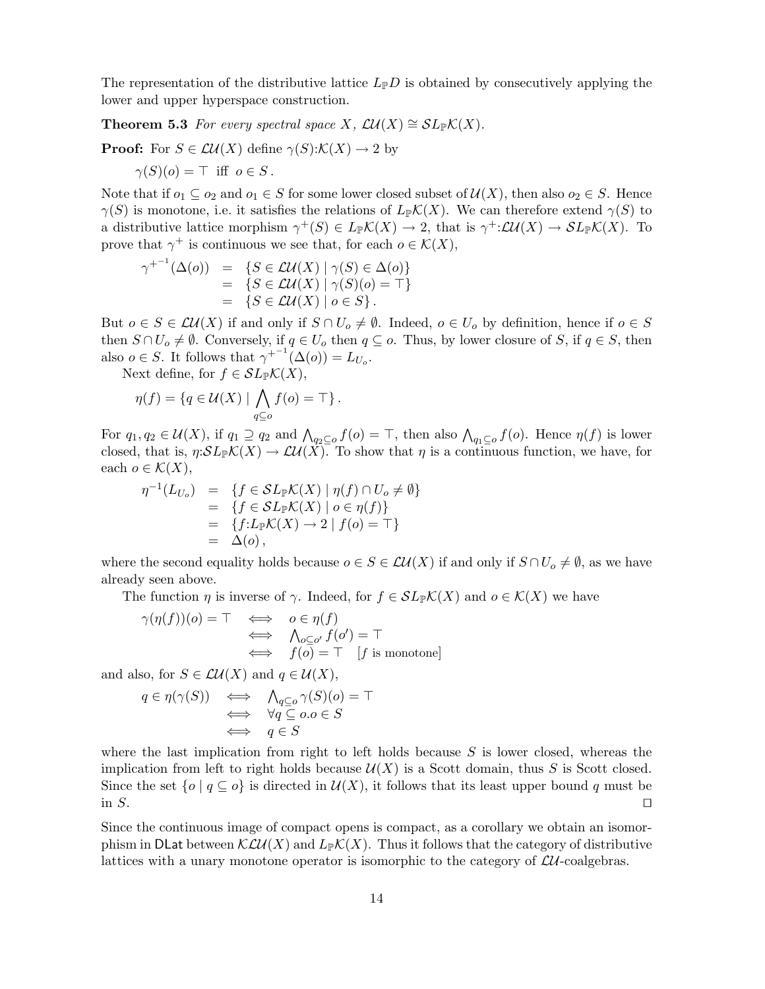The representation of the distributive lattice  $L_{\mathbb{P}}D$  is obtained by consecutively applying the lower and upper hyperspace construction.

**Theorem 5.3** For every spectral space X,  $\mathcal{L}U(X) \cong SL_{\mathbb{P}}\mathcal{K}(X)$ .

**Proof:** For  $S \in \mathcal{L}U(X)$  define  $\gamma(S):\mathcal{K}(X) \to 2$  by

 $\gamma(S)(o) = \top$  iff  $o \in S$ .

Note that if  $o_1 \subseteq o_2$  and  $o_1 \in S$  for some lower closed subset of  $\mathcal{U}(X)$ , then also  $o_2 \in S$ . Hence  $\gamma(S)$  is monotone, i.e. it satisfies the relations of  $L_{\mathbb{P}}K(X)$ . We can therefore extend  $\gamma(S)$  to a distributive lattice morphism  $\gamma^+(S) \in L_{\mathbb{P}}\mathcal{K}(X) \to 2$ , that is  $\gamma^+:\mathcal{L}\mathcal{U}(X) \to \mathcal{S}L_{\mathbb{P}}\mathcal{K}(X)$ . To prove that  $\gamma^+$  is continuous we see that, for each  $o \in \mathcal{K}(X)$ ,

$$
\gamma^{+-1}(\Delta(o)) = \{ S \in \mathcal{L}U(X) \mid \gamma(S) \in \Delta(o) \}
$$
  
= 
$$
\{ S \in \mathcal{L}U(X) \mid \gamma(S)(o) = \top \}
$$
  
= 
$$
\{ S \in \mathcal{L}U(X) \mid o \in S \}.
$$

But  $o \in S \in \mathcal{L}\mathcal{U}(X)$  if and only if  $S \cap U_o \neq \emptyset$ . Indeed,  $o \in U_o$  by definition, hence if  $o \in S$ then  $S \cap U_o \neq \emptyset$ . Conversely, if  $q \in U_o$  then  $q \subseteq o$ . Thus, by lower closure of S, if  $q \in S$ , then also  $o \in S$ . It follows that  $\gamma^{+-1}(\Delta(o)) = L_{U_o}$ .

Next define, for  $f \in SL_{\mathbb{P}}\mathcal{K}(X)$ ,

$$
\eta(f) = \{ q \in \mathcal{U}(X) \mid \bigwedge_{q \subseteq o} f(o) = \top \}.
$$

For  $q_1, q_2 \in \mathcal{U}(X)$ , if  $q_1 \supseteq q_2$  and  $\bigwedge_{q_2 \subseteq o} f(o) = \top$ , then also  $\bigwedge_{q_1 \subseteq o} f(o)$ . Hence  $\eta(f)$  is lower closed, that is,  $\eta:\mathcal{SL}_{\mathbb{P}}\mathcal{K}(X)\to \mathcal{LU}(X)$ . To show that  $\eta$  is a continuous function, we have, for each  $o \in \mathcal{K}(X)$ ,

$$
\eta^{-1}(L_{U_o}) = \{ f \in SL_{\mathbb{P}}K(X) \mid \eta(f) \cap U_o \neq \emptyset \} = \{ f \in SL_{\mathbb{P}}K(X) \mid o \in \eta(f) \} = \{ f : L_{\mathbb{P}}K(X) \to 2 \mid f(o) = \top \} = \Delta(o),
$$

where the second equality holds because  $o \in S \in \mathcal{LU}(X)$  if and only if  $S \cap U_o \neq \emptyset$ , as we have already seen above.

The function  $\eta$  is inverse of  $\gamma$ . Indeed, for  $f \in SL_{\mathbb{P}}\mathcal{K}(X)$  and  $o \in \mathcal{K}(X)$  we have

$$
\gamma(\eta(f))(o) = \top \iff o \in \eta(f)
$$
  

$$
\iff \bigwedge_{o \subseteq o'} f(o') = \top
$$
  

$$
\iff f(o) = \top \quad [f \text{ is monotone}]
$$

and also, for  $S \in \mathcal{L}\mathcal{U}(X)$  and  $q \in \mathcal{U}(X)$ ,

$$
q \in \eta(\gamma(S)) \iff \bigwedge_{q \subseteq o} \gamma(S)(o) = \top
$$
  

$$
\iff \forall q \subseteq o.o \in S
$$
  

$$
\iff q \in S
$$

where the last implication from right to left holds because  $S$  is lower closed, whereas the implication from left to right holds because  $\mathcal{U}(X)$  is a Scott domain, thus S is Scott closed. Since the set  $\{o \mid q \subseteq o\}$  is directed in  $\mathcal{U}(X)$ , it follows that its least upper bound q must be in S.  $□$ 

Since the continuous image of compact opens is compact, as a corollary we obtain an isomorphism in DLat between  $\mathcal{KLU}(X)$  and  $L_{\mathbb{P}}\mathcal{K}(X)$ . Thus it follows that the category of distributive lattices with a unary monotone operator is isomorphic to the category of  $\mathcal{L}U$ -coalgebras.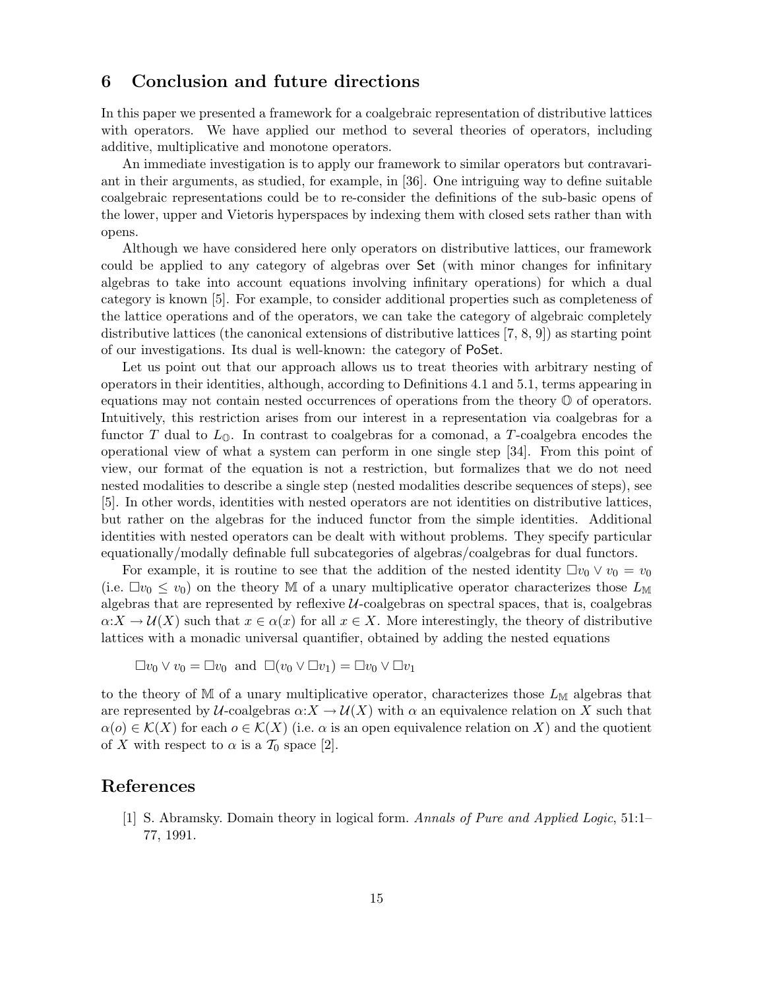# 6 Conclusion and future directions

In this paper we presented a framework for a coalgebraic representation of distributive lattices with operators. We have applied our method to several theories of operators, including additive, multiplicative and monotone operators.

An immediate investigation is to apply our framework to similar operators but contravariant in their arguments, as studied, for example, in [36]. One intriguing way to define suitable coalgebraic representations could be to re-consider the definitions of the sub-basic opens of the lower, upper and Vietoris hyperspaces by indexing them with closed sets rather than with opens.

Although we have considered here only operators on distributive lattices, our framework could be applied to any category of algebras over Set (with minor changes for infinitary algebras to take into account equations involving infinitary operations) for which a dual category is known [5]. For example, to consider additional properties such as completeness of the lattice operations and of the operators, we can take the category of algebraic completely distributive lattices (the canonical extensions of distributive lattices [7, 8, 9]) as starting point of our investigations. Its dual is well-known: the category of PoSet.

Let us point out that our approach allows us to treat theories with arbitrary nesting of operators in their identities, although, according to Definitions 4.1 and 5.1, terms appearing in equations may not contain nested occurrences of operations from the theory O of operators. Intuitively, this restriction arises from our interest in a representation via coalgebras for a functor T dual to  $L_0$ . In contrast to coalgebras for a comonad, a T-coalgebra encodes the operational view of what a system can perform in one single step [34]. From this point of view, our format of the equation is not a restriction, but formalizes that we do not need nested modalities to describe a single step (nested modalities describe sequences of steps), see [5]. In other words, identities with nested operators are not identities on distributive lattices, but rather on the algebras for the induced functor from the simple identities. Additional identities with nested operators can be dealt with without problems. They specify particular equationally/modally definable full subcategories of algebras/coalgebras for dual functors.

For example, it is routine to see that the addition of the nested identity  $\Box v_0 \vee v_0 = v_0$ (i.e.  $\Box v_0 \leq v_0$ ) on the theory M of a unary multiplicative operator characterizes those  $L_M$ algebras that are represented by reflexive  $U$ -coalgebras on spectral spaces, that is, coalgebras  $\alpha:X\to\mathcal{U}(X)$  such that  $x\in\alpha(x)$  for all  $x\in X$ . More interestingly, the theory of distributive lattices with a monadic universal quantifier, obtained by adding the nested equations

$$
\Box v_0 \vee v_0 = \Box v_0 \text{ and } \Box (v_0 \vee \Box v_1) = \Box v_0 \vee \Box v_1
$$

to the theory of M of a unary multiplicative operator, characterizes those  $L_M$  algebras that are represented by U-coalgebras  $\alpha:X \to \mathcal{U}(X)$  with  $\alpha$  an equivalence relation on X such that  $\alpha(o) \in \mathcal{K}(X)$  for each  $o \in \mathcal{K}(X)$  (i.e.  $\alpha$  is an open equivalence relation on X) and the quotient of X with respect to  $\alpha$  is a  $\mathcal{T}_0$  space [2].

### References

[1] S. Abramsky. Domain theory in logical form. Annals of Pure and Applied Logic, 51:1– 77, 1991.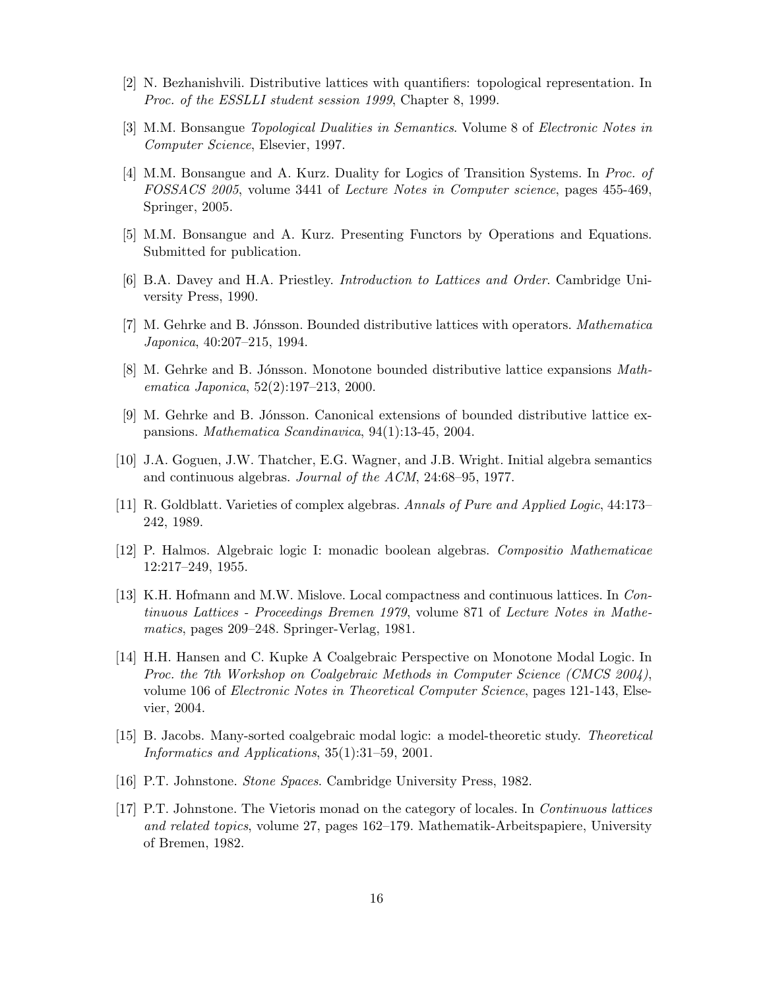- [2] N. Bezhanishvili. Distributive lattices with quantifiers: topological representation. In Proc. of the ESSLLI student session 1999, Chapter 8, 1999.
- [3] M.M. Bonsangue Topological Dualities in Semantics. Volume 8 of Electronic Notes in Computer Science, Elsevier, 1997.
- [4] M.M. Bonsangue and A. Kurz. Duality for Logics of Transition Systems. In Proc. of FOSSACS 2005, volume 3441 of Lecture Notes in Computer science, pages 455-469, Springer, 2005.
- [5] M.M. Bonsangue and A. Kurz. Presenting Functors by Operations and Equations. Submitted for publication.
- [6] B.A. Davey and H.A. Priestley. Introduction to Lattices and Order. Cambridge University Press, 1990.
- [7] M. Gehrke and B. Jónsson. Bounded distributive lattices with operators. *Mathematica* Japonica, 40:207–215, 1994.
- [8] M. Gehrke and B. Jónsson. Monotone bounded distributive lattice expansions *Math*ematica Japonica, 52(2):197–213, 2000.
- [9] M. Gehrke and B. Jónsson. Canonical extensions of bounded distributive lattice expansions. Mathematica Scandinavica, 94(1):13-45, 2004.
- [10] J.A. Goguen, J.W. Thatcher, E.G. Wagner, and J.B. Wright. Initial algebra semantics and continuous algebras. Journal of the ACM, 24:68–95, 1977.
- [11] R. Goldblatt. Varieties of complex algebras. Annals of Pure and Applied Logic, 44:173– 242, 1989.
- [12] P. Halmos. Algebraic logic I: monadic boolean algebras. Compositio Mathematicae 12:217–249, 1955.
- [13] K.H. Hofmann and M.W. Mislove. Local compactness and continuous lattices. In *Con*tinuous Lattices - Proceedings Bremen 1979, volume 871 of Lecture Notes in Mathematics, pages 209–248. Springer-Verlag, 1981.
- [14] H.H. Hansen and C. Kupke A Coalgebraic Perspective on Monotone Modal Logic. In Proc. the 7th Workshop on Coalgebraic Methods in Computer Science (CMCS 2004), volume 106 of Electronic Notes in Theoretical Computer Science, pages 121-143, Elsevier, 2004.
- [15] B. Jacobs. Many-sorted coalgebraic modal logic: a model-theoretic study. Theoretical Informatics and Applications, 35(1):31–59, 2001.
- [16] P.T. Johnstone. Stone Spaces. Cambridge University Press, 1982.
- [17] P.T. Johnstone. The Vietoris monad on the category of locales. In Continuous lattices and related topics, volume 27, pages 162–179. Mathematik-Arbeitspapiere, University of Bremen, 1982.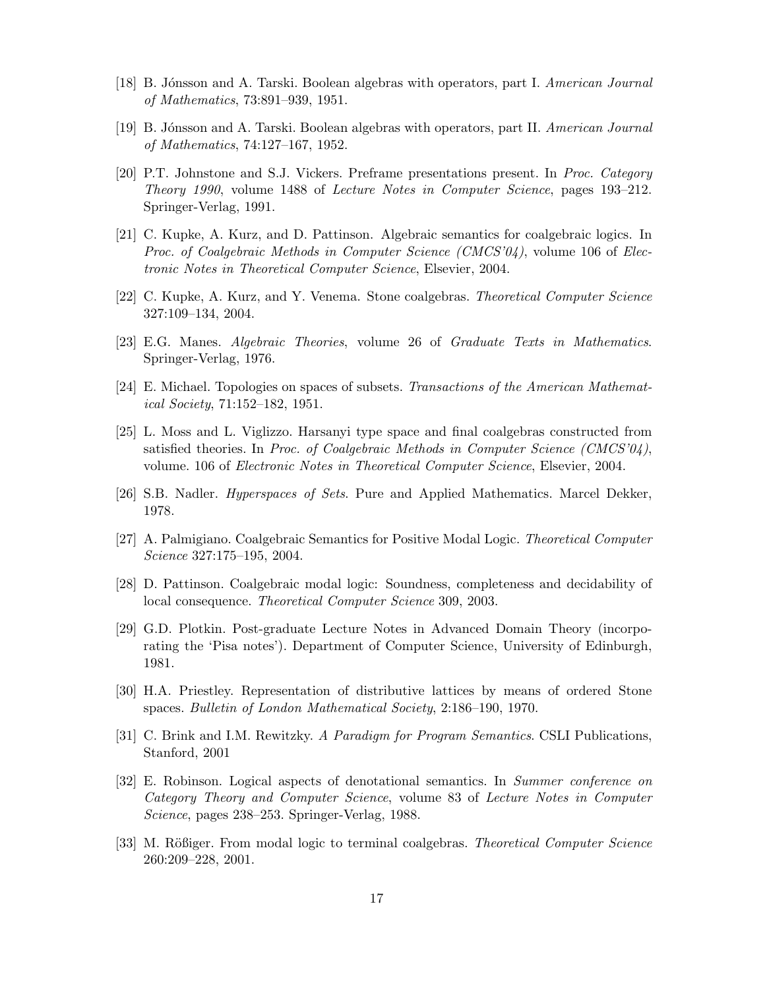- [18] B. Jónsson and A. Tarski. Boolean algebras with operators, part I. American Journal of Mathematics, 73:891–939, 1951.
- [19] B. J´onsson and A. Tarski. Boolean algebras with operators, part II. American Journal of Mathematics, 74:127–167, 1952.
- [20] P.T. Johnstone and S.J. Vickers. Preframe presentations present. In Proc. Category Theory 1990, volume 1488 of Lecture Notes in Computer Science, pages 193–212. Springer-Verlag, 1991.
- [21] C. Kupke, A. Kurz, and D. Pattinson. Algebraic semantics for coalgebraic logics. In Proc. of Coalgebraic Methods in Computer Science (CMCS'04), volume 106 of Electronic Notes in Theoretical Computer Science, Elsevier, 2004.
- [22] C. Kupke, A. Kurz, and Y. Venema. Stone coalgebras. Theoretical Computer Science 327:109–134, 2004.
- [23] E.G. Manes. Algebraic Theories, volume 26 of Graduate Texts in Mathematics. Springer-Verlag, 1976.
- [24] E. Michael. Topologies on spaces of subsets. Transactions of the American Mathematical Society, 71:152–182, 1951.
- [25] L. Moss and L. Viglizzo. Harsanyi type space and final coalgebras constructed from satisfied theories. In Proc. of Coalgebraic Methods in Computer Science  $(CMCS'04)$ , volume. 106 of Electronic Notes in Theoretical Computer Science, Elsevier, 2004.
- [26] S.B. Nadler. Hyperspaces of Sets. Pure and Applied Mathematics. Marcel Dekker, 1978.
- [27] A. Palmigiano. Coalgebraic Semantics for Positive Modal Logic. Theoretical Computer Science 327:175–195, 2004.
- [28] D. Pattinson. Coalgebraic modal logic: Soundness, completeness and decidability of local consequence. Theoretical Computer Science 309, 2003.
- [29] G.D. Plotkin. Post-graduate Lecture Notes in Advanced Domain Theory (incorporating the 'Pisa notes'). Department of Computer Science, University of Edinburgh, 1981.
- [30] H.A. Priestley. Representation of distributive lattices by means of ordered Stone spaces. Bulletin of London Mathematical Society, 2:186–190, 1970.
- [31] C. Brink and I.M. Rewitzky. A Paradigm for Program Semantics. CSLI Publications, Stanford, 2001
- [32] E. Robinson. Logical aspects of denotational semantics. In Summer conference on Category Theory and Computer Science, volume 83 of Lecture Notes in Computer Science, pages 238–253. Springer-Verlag, 1988.
- [33] M. Rößiger. From modal logic to terminal coalgebras. Theoretical Computer Science 260:209–228, 2001.